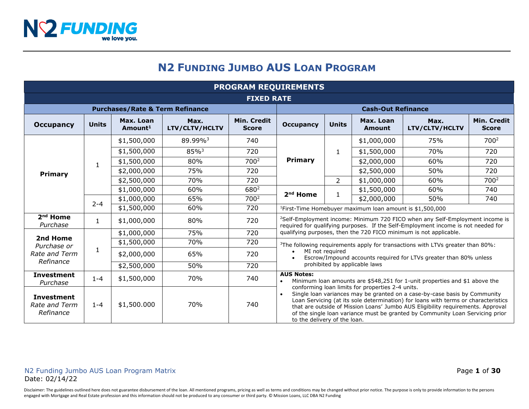# **N2 FUNDING JUMBO AUS LOAN PROGRAM**

| <b>PROGRAM REQUIREMENTS</b>                     |              |                                            |                        |                             |                                                                                                                                                                                                                                                                                                                                                                                                                                                                                                                            |                |                            |                                                                                                                                                                               |                             |
|-------------------------------------------------|--------------|--------------------------------------------|------------------------|-----------------------------|----------------------------------------------------------------------------------------------------------------------------------------------------------------------------------------------------------------------------------------------------------------------------------------------------------------------------------------------------------------------------------------------------------------------------------------------------------------------------------------------------------------------------|----------------|----------------------------|-------------------------------------------------------------------------------------------------------------------------------------------------------------------------------|-----------------------------|
| <b>FIXED RATE</b>                               |              |                                            |                        |                             |                                                                                                                                                                                                                                                                                                                                                                                                                                                                                                                            |                |                            |                                                                                                                                                                               |                             |
|                                                 |              | <b>Purchases/Rate &amp; Term Refinance</b> |                        |                             | <b>Cash-Out Refinance</b>                                                                                                                                                                                                                                                                                                                                                                                                                                                                                                  |                |                            |                                                                                                                                                                               |                             |
| <b>Occupancy</b>                                | <b>Units</b> | Max. Loan<br>Amount <sup>1</sup>           | Max.<br>LTV/CLTV/HCLTV | Min. Credit<br><b>Score</b> | <b>Occupancy</b>                                                                                                                                                                                                                                                                                                                                                                                                                                                                                                           | <b>Units</b>   | Max. Loan<br><b>Amount</b> | Max.<br>LTV/CLTV/HCLTV                                                                                                                                                        | Min. Credit<br><b>Score</b> |
|                                                 |              | \$1,500,000                                | 89.99% <sup>3</sup>    | 740                         |                                                                                                                                                                                                                                                                                                                                                                                                                                                                                                                            | $\mathbf{1}$   | \$1,000,000                | 75%                                                                                                                                                                           | 700 <sup>2</sup>            |
|                                                 |              | \$1,500,000                                | 85% <sup>3</sup>       | 720                         |                                                                                                                                                                                                                                                                                                                                                                                                                                                                                                                            |                | \$1,500,000                | 70%                                                                                                                                                                           | 720                         |
|                                                 | $\mathbf{1}$ | \$1,500,000                                | 80%                    | 700 <sup>2</sup>            | <b>Primary</b>                                                                                                                                                                                                                                                                                                                                                                                                                                                                                                             |                | \$2,000,000                | 60%                                                                                                                                                                           | 720                         |
| Primary                                         |              | \$2,000,000                                | 75%                    | 720                         |                                                                                                                                                                                                                                                                                                                                                                                                                                                                                                                            |                | \$2,500,000                | 50%                                                                                                                                                                           | 720                         |
|                                                 |              | \$2,500,000                                | 70%                    | 720                         |                                                                                                                                                                                                                                                                                                                                                                                                                                                                                                                            | $\overline{2}$ | \$1,000,000                | 60%                                                                                                                                                                           | 700 <sup>2</sup>            |
|                                                 |              | \$1,000,000                                | 60%                    | 680 <sup>2</sup>            | $2nd$ Home                                                                                                                                                                                                                                                                                                                                                                                                                                                                                                                 | 1              | \$1,500,000                | 60%                                                                                                                                                                           | 740                         |
|                                                 | $2 - 4$      | \$1,000,000                                | 65%                    | 700 <sup>2</sup>            |                                                                                                                                                                                                                                                                                                                                                                                                                                                                                                                            |                | \$2,000,000                | 50%                                                                                                                                                                           | 740                         |
|                                                 |              | \$1,500,000                                | 60%                    | 720                         | <sup>1</sup> First-Time Homebuyer maximum loan amount is \$1,500,000                                                                                                                                                                                                                                                                                                                                                                                                                                                       |                |                            |                                                                                                                                                                               |                             |
| 2 <sup>nd</sup> Home<br>Purchase                | $\mathbf{1}$ | \$1,000,000                                | 80%                    | 720                         |                                                                                                                                                                                                                                                                                                                                                                                                                                                                                                                            |                |                            | <sup>2</sup> Self-Employment income: Minimum 720 FICO when any Self-Employment income is<br>required for qualifying purposes. If the Self-Employment income is not needed for |                             |
| 2nd Home                                        | 1            | \$1,000,000                                | 75%                    | 720                         |                                                                                                                                                                                                                                                                                                                                                                                                                                                                                                                            |                |                            | qualifying purposes, then the 720 FICO minimum is not applicable.                                                                                                             |                             |
| Purchase or                                     |              | \$1,500,000                                | 70%                    | 720                         | <sup>3</sup> The following requirements apply for transactions with LTVs greater than 80%:                                                                                                                                                                                                                                                                                                                                                                                                                                 |                |                            |                                                                                                                                                                               |                             |
| Rate and Term                                   |              | \$2,000,000                                | 65%                    | 720                         | MI not required<br>Escrow/Impound accounts required for LTVs greater than 80% unless<br>prohibited by applicable laws                                                                                                                                                                                                                                                                                                                                                                                                      |                |                            |                                                                                                                                                                               |                             |
| Refinance                                       |              | \$2,500,000                                | 50%                    | 720                         |                                                                                                                                                                                                                                                                                                                                                                                                                                                                                                                            |                |                            |                                                                                                                                                                               |                             |
| <b>Investment</b><br>Purchase                   | $1 - 4$      | \$1,500,000                                | 70%                    | 740                         | <b>AUS Notes:</b><br>Minimum Ioan amounts are \$548,251 for 1-unit properties and \$1 above the<br>conforming loan limits for properties 2-4 units.<br>Single loan variances may be granted on a case-by-case basis by Community<br>Loan Servicing (at its sole determination) for loans with terms or characteristics<br>that are outside of Mission Loans' Jumbo AUS Eligibility requirements. Approval<br>of the single loan variance must be granted by Community Loan Servicing prior<br>to the delivery of the loan. |                |                            |                                                                                                                                                                               |                             |
| <b>Investment</b><br>Rate and Term<br>Refinance | $1 - 4$      | \$1,500.000                                | 70%                    | 740                         |                                                                                                                                                                                                                                                                                                                                                                                                                                                                                                                            |                |                            |                                                                                                                                                                               |                             |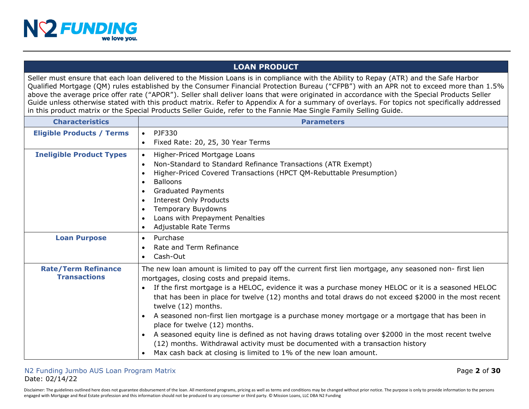

# **LOAN PRODUCT**

Seller must ensure that each loan delivered to the Mission Loans is in compliance with the Ability to Repay (ATR) and the Safe Harbor Qualified Mortgage (QM) rules established by the Consumer Financial Protection Bureau ("CFPB") with an APR not to exceed more than 1.5% above the average price offer rate ("APOR"). Seller shall deliver loans that were originated in accordance with the Special Products Seller Guide unless otherwise stated with this product matrix. Refer to Appendix A for a summary of overlays. For topics not specifically addressed in this product matrix or the Special Products Seller Guide, refer to the Fannie Mae Single Family Selling Guide.

| <b>Characteristics</b>                            | <b>Parameters</b>                                                                                                                                                                                                                                                                                                                                                                                                                                                                                                                                                                                                                                                                                                                                                                                                                     |
|---------------------------------------------------|---------------------------------------------------------------------------------------------------------------------------------------------------------------------------------------------------------------------------------------------------------------------------------------------------------------------------------------------------------------------------------------------------------------------------------------------------------------------------------------------------------------------------------------------------------------------------------------------------------------------------------------------------------------------------------------------------------------------------------------------------------------------------------------------------------------------------------------|
| <b>Eligible Products / Terms</b>                  | PJF330<br>$\bullet$                                                                                                                                                                                                                                                                                                                                                                                                                                                                                                                                                                                                                                                                                                                                                                                                                   |
|                                                   | Fixed Rate: 20, 25, 30 Year Terms<br>$\bullet$                                                                                                                                                                                                                                                                                                                                                                                                                                                                                                                                                                                                                                                                                                                                                                                        |
| <b>Ineligible Product Types</b>                   | Higher-Priced Mortgage Loans<br>$\bullet$<br>Non-Standard to Standard Refinance Transactions (ATR Exempt)<br>$\bullet$<br>Higher-Priced Covered Transactions (HPCT QM-Rebuttable Presumption)<br>$\bullet$<br><b>Balloons</b><br>$\bullet$<br><b>Graduated Payments</b><br>$\bullet$<br><b>Interest Only Products</b><br>$\bullet$<br>Temporary Buydowns<br>$\bullet$<br>Loans with Prepayment Penalties<br>$\bullet$                                                                                                                                                                                                                                                                                                                                                                                                                 |
|                                                   | Adjustable Rate Terms<br>$\bullet$                                                                                                                                                                                                                                                                                                                                                                                                                                                                                                                                                                                                                                                                                                                                                                                                    |
| <b>Loan Purpose</b>                               | Purchase<br>$\bullet$<br>Rate and Term Refinance<br>$\bullet$<br>Cash-Out<br>$\bullet$                                                                                                                                                                                                                                                                                                                                                                                                                                                                                                                                                                                                                                                                                                                                                |
| <b>Rate/Term Refinance</b><br><b>Transactions</b> | The new loan amount is limited to pay off the current first lien mortgage, any seasoned non- first lien<br>mortgages, closing costs and prepaid items.<br>If the first mortgage is a HELOC, evidence it was a purchase money HELOC or it is a seasoned HELOC<br>$\bullet$<br>that has been in place for twelve (12) months and total draws do not exceed \$2000 in the most recent<br>twelve (12) months.<br>A seasoned non-first lien mortgage is a purchase money mortgage or a mortgage that has been in<br>$\bullet$<br>place for twelve (12) months.<br>A seasoned equity line is defined as not having draws totaling over \$2000 in the most recent twelve<br>(12) months. Withdrawal activity must be documented with a transaction history<br>Max cash back at closing is limited to 1% of the new loan amount.<br>$\bullet$ |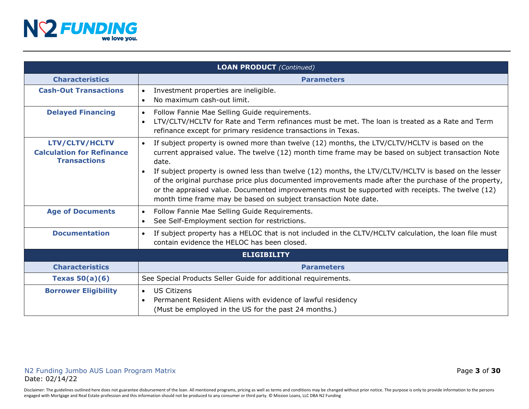

| <b>LOAN PRODUCT</b> (Continued)                                                  |                                                                                                                                                                                                                                                                                                                                                                                                  |  |
|----------------------------------------------------------------------------------|--------------------------------------------------------------------------------------------------------------------------------------------------------------------------------------------------------------------------------------------------------------------------------------------------------------------------------------------------------------------------------------------------|--|
| <b>Characteristics</b>                                                           | <b>Parameters</b>                                                                                                                                                                                                                                                                                                                                                                                |  |
| <b>Cash-Out Transactions</b>                                                     | Investment properties are ineligible.<br>$\bullet$<br>No maximum cash-out limit.<br>$\bullet$                                                                                                                                                                                                                                                                                                    |  |
| <b>Delayed Financing</b>                                                         | Follow Fannie Mae Selling Guide requirements.<br>$\bullet$<br>LTV/CLTV/HCLTV for Rate and Term refinances must be met. The loan is treated as a Rate and Term<br>$\bullet$<br>refinance except for primary residence transactions in Texas.                                                                                                                                                      |  |
| <b>LTV/CLTV/HCLTV</b><br><b>Calculation for Refinance</b><br><b>Transactions</b> | If subject property is owned more than twelve (12) months, the LTV/CLTV/HCLTV is based on the<br>$\bullet$<br>current appraised value. The twelve (12) month time frame may be based on subject transaction Note<br>date.                                                                                                                                                                        |  |
|                                                                                  | If subject property is owned less than twelve (12) months, the LTV/CLTV/HCLTV is based on the lesser<br>$\bullet$<br>of the original purchase price plus documented improvements made after the purchase of the property,<br>or the appraised value. Documented improvements must be supported with receipts. The twelve (12)<br>month time frame may be based on subject transaction Note date. |  |
| <b>Age of Documents</b>                                                          | Follow Fannie Mae Selling Guide Requirements.<br>$\bullet$<br>See Self-Employment section for restrictions.<br>$\bullet$                                                                                                                                                                                                                                                                         |  |
| <b>Documentation</b>                                                             | If subject property has a HELOC that is not included in the CLTV/HCLTV calculation, the loan file must<br>$\bullet$<br>contain evidence the HELOC has been closed.                                                                                                                                                                                                                               |  |
| <b>ELIGIBILITY</b>                                                               |                                                                                                                                                                                                                                                                                                                                                                                                  |  |
| <b>Characteristics</b>                                                           | <b>Parameters</b>                                                                                                                                                                                                                                                                                                                                                                                |  |
| Texas $50(a)(6)$                                                                 | See Special Products Seller Guide for additional requirements.                                                                                                                                                                                                                                                                                                                                   |  |
| <b>Borrower Eligibility</b>                                                      | <b>US Citizens</b><br>$\bullet$<br>Permanent Resident Aliens with evidence of lawful residency<br>$\bullet$<br>(Must be employed in the US for the past 24 months.)                                                                                                                                                                                                                              |  |

Disclaimer: The guidelines outlined here does not guarantee disbursement of the loan. All mentioned programs, pricing as well as terms and conditions may be changed without prior notice. The purpose is only to provide info engaged with Mortgage and Real Estate profession and this information should not be produced to any consumer or third party. © Mission Loans, LLC DBA N2 Funding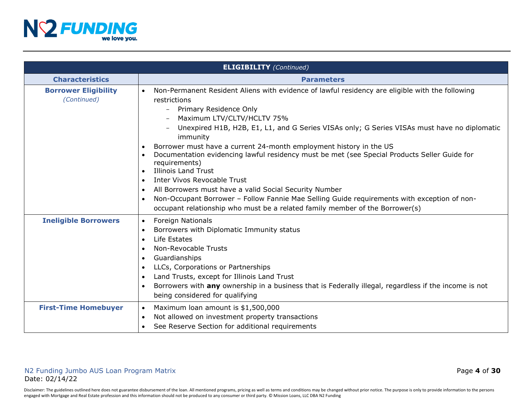

|                                            | <b>ELIGIBILITY</b> (Continued)                                                                                                                                                                                                                                                                                                                                                                                                                                                                                                                                                                                                                                                                                                                                                                                                                                  |
|--------------------------------------------|-----------------------------------------------------------------------------------------------------------------------------------------------------------------------------------------------------------------------------------------------------------------------------------------------------------------------------------------------------------------------------------------------------------------------------------------------------------------------------------------------------------------------------------------------------------------------------------------------------------------------------------------------------------------------------------------------------------------------------------------------------------------------------------------------------------------------------------------------------------------|
| <b>Characteristics</b>                     | <b>Parameters</b>                                                                                                                                                                                                                                                                                                                                                                                                                                                                                                                                                                                                                                                                                                                                                                                                                                               |
| <b>Borrower Eligibility</b><br>(Continued) | Non-Permanent Resident Aliens with evidence of lawful residency are eligible with the following<br>$\bullet$<br>restrictions<br>- Primary Residence Only<br>Maximum LTV/CLTV/HCLTV 75%<br>Unexpired H1B, H2B, E1, L1, and G Series VISAs only; G Series VISAs must have no diplomatic<br>immunity<br>Borrower must have a current 24-month employment history in the US<br>Documentation evidencing lawful residency must be met (see Special Products Seller Guide for<br>$\bullet$<br>requirements)<br><b>Illinois Land Trust</b><br>$\bullet$<br>Inter Vivos Revocable Trust<br>$\bullet$<br>All Borrowers must have a valid Social Security Number<br>$\bullet$<br>Non-Occupant Borrower - Follow Fannie Mae Selling Guide requirements with exception of non-<br>$\bullet$<br>occupant relationship who must be a related family member of the Borrower(s) |
| <b>Ineligible Borrowers</b>                | <b>Foreign Nationals</b><br>$\bullet$<br>Borrowers with Diplomatic Immunity status<br>$\bullet$<br>Life Estates<br>$\bullet$<br>Non-Revocable Trusts<br>$\bullet$<br>Guardianships<br>$\bullet$<br>LLCs, Corporations or Partnerships<br>$\bullet$<br>Land Trusts, except for Illinois Land Trust<br>$\bullet$<br>Borrowers with any ownership in a business that is Federally illegal, regardless if the income is not<br>$\bullet$<br>being considered for qualifying                                                                                                                                                                                                                                                                                                                                                                                         |
| <b>First-Time Homebuyer</b>                | Maximum loan amount is \$1,500,000<br>$\bullet$<br>Not allowed on investment property transactions<br>$\bullet$<br>See Reserve Section for additional requirements                                                                                                                                                                                                                                                                                                                                                                                                                                                                                                                                                                                                                                                                                              |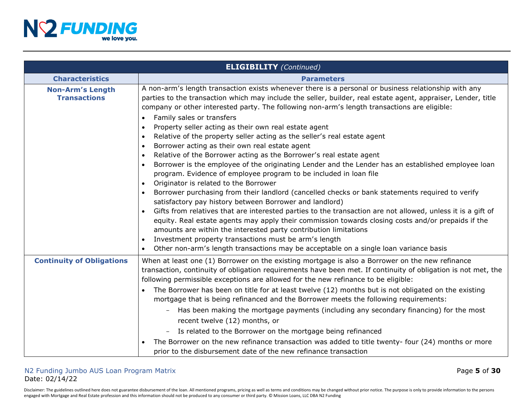

|                                                | <b>ELIGIBILITY</b> (Continued)                                                                                                                                                                                                                                                                                                                                                                                                                                                                                                                                                                                                                       |
|------------------------------------------------|------------------------------------------------------------------------------------------------------------------------------------------------------------------------------------------------------------------------------------------------------------------------------------------------------------------------------------------------------------------------------------------------------------------------------------------------------------------------------------------------------------------------------------------------------------------------------------------------------------------------------------------------------|
| <b>Characteristics</b>                         | <b>Parameters</b>                                                                                                                                                                                                                                                                                                                                                                                                                                                                                                                                                                                                                                    |
| <b>Non-Arm's Length</b><br><b>Transactions</b> | A non-arm's length transaction exists whenever there is a personal or business relationship with any<br>parties to the transaction which may include the seller, builder, real estate agent, appraiser, Lender, title<br>company or other interested party. The following non-arm's length transactions are eligible:<br>Family sales or transfers<br>$\bullet$                                                                                                                                                                                                                                                                                      |
|                                                | Property seller acting as their own real estate agent<br>$\bullet$<br>Relative of the property seller acting as the seller's real estate agent<br>$\bullet$<br>Borrower acting as their own real estate agent<br>$\bullet$<br>Relative of the Borrower acting as the Borrower's real estate agent<br>$\bullet$<br>Borrower is the employee of the originating Lender and the Lender has an established employee loan                                                                                                                                                                                                                                 |
|                                                | program. Evidence of employee program to be included in loan file<br>Originator is related to the Borrower<br>$\bullet$<br>Borrower purchasing from their landlord (cancelled checks or bank statements required to verify<br>satisfactory pay history between Borrower and landlord)<br>Gifts from relatives that are interested parties to the transaction are not allowed, unless it is a gift of<br>$\bullet$<br>equity. Real estate agents may apply their commission towards closing costs and/or prepaids if the<br>amounts are within the interested party contribution limitations<br>Investment property transactions must be arm's length |
| <b>Continuity of Obligations</b>               | Other non-arm's length transactions may be acceptable on a single loan variance basis<br>$\bullet$<br>When at least one (1) Borrower on the existing mortgage is also a Borrower on the new refinance<br>transaction, continuity of obligation requirements have been met. If continuity of obligation is not met, the<br>following permissible exceptions are allowed for the new refinance to be eligible:<br>The Borrower has been on title for at least twelve (12) months but is not obligated on the existing<br>mortgage that is being refinanced and the Borrower meets the following requirements:                                          |
|                                                | Has been making the mortgage payments (including any secondary financing) for the most<br>recent twelve (12) months, or<br>Is related to the Borrower on the mortgage being refinanced<br>The Borrower on the new refinance transaction was added to title twenty- four (24) months or more<br>prior to the disbursement date of the new refinance transaction                                                                                                                                                                                                                                                                                       |

# N2 Funding Jumbo AUS Loan Program Matrix Page **5** of **30** Date: 02/14/22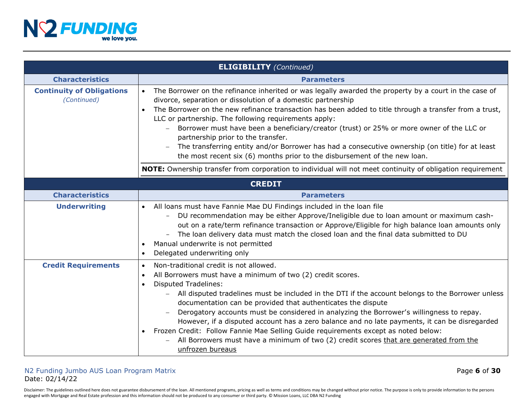

|                                                 | <b>ELIGIBILITY</b> (Continued)                                                                                                                                                                                                                                                                                                                                                                                                                                                                                                                                                                                                                                                                                                                                 |
|-------------------------------------------------|----------------------------------------------------------------------------------------------------------------------------------------------------------------------------------------------------------------------------------------------------------------------------------------------------------------------------------------------------------------------------------------------------------------------------------------------------------------------------------------------------------------------------------------------------------------------------------------------------------------------------------------------------------------------------------------------------------------------------------------------------------------|
| <b>Characteristics</b>                          | <b>Parameters</b>                                                                                                                                                                                                                                                                                                                                                                                                                                                                                                                                                                                                                                                                                                                                              |
| <b>Continuity of Obligations</b><br>(Continued) | The Borrower on the refinance inherited or was legally awarded the property by a court in the case of<br>$\bullet$<br>divorce, separation or dissolution of a domestic partnership<br>The Borrower on the new refinance transaction has been added to title through a transfer from a trust,<br>LLC or partnership. The following requirements apply:<br>Borrower must have been a beneficiary/creator (trust) or 25% or more owner of the LLC or<br>partnership prior to the transfer.<br>The transferring entity and/or Borrower has had a consecutive ownership (on title) for at least<br>the most recent six (6) months prior to the disbursement of the new loan.                                                                                        |
|                                                 | NOTE: Ownership transfer from corporation to individual will not meet continuity of obligation requirement                                                                                                                                                                                                                                                                                                                                                                                                                                                                                                                                                                                                                                                     |
|                                                 | <b>CREDIT</b>                                                                                                                                                                                                                                                                                                                                                                                                                                                                                                                                                                                                                                                                                                                                                  |
| <b>Characteristics</b>                          | <b>Parameters</b>                                                                                                                                                                                                                                                                                                                                                                                                                                                                                                                                                                                                                                                                                                                                              |
| <b>Underwriting</b>                             | All loans must have Fannie Mae DU Findings included in the loan file<br>$\bullet$<br>DU recommendation may be either Approve/Ineligible due to loan amount or maximum cash-<br>$-$<br>out on a rate/term refinance transaction or Approve/Eligible for high balance loan amounts only<br>The loan delivery data must match the closed loan and the final data submitted to DU<br>Manual underwrite is not permitted<br>$\bullet$<br>Delegated underwriting only<br>$\bullet$                                                                                                                                                                                                                                                                                   |
| <b>Credit Requirements</b>                      | Non-traditional credit is not allowed.<br>$\bullet$<br>All Borrowers must have a minimum of two (2) credit scores.<br>$\bullet$<br><b>Disputed Tradelines:</b><br>$\bullet$<br>All disputed tradelines must be included in the DTI if the account belongs to the Borrower unless<br>documentation can be provided that authenticates the dispute<br>Derogatory accounts must be considered in analyzing the Borrower's willingness to repay.<br>However, if a disputed account has a zero balance and no late payments, it can be disregarded<br>Frozen Credit: Follow Fannie Mae Selling Guide requirements except as noted below:<br>$\bullet$<br>All Borrowers must have a minimum of two (2) credit scores that are generated from the<br>unfrozen bureaus |

## N2 Funding Jumbo AUS Loan Program Matrix Page **6** of **30** Date: 02/14/22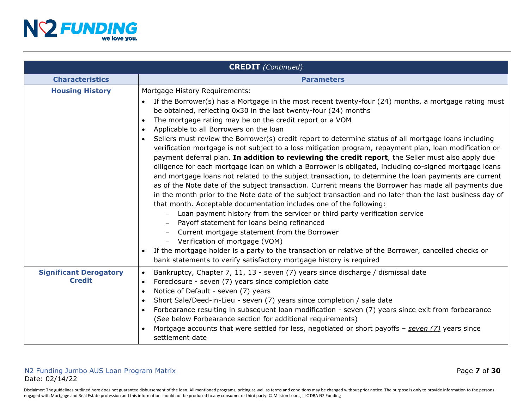

|                                                | <b>CREDIT</b> (Continued)                                                                                                                                                                                                                                                                                                                                                                                                                                                                                                                                                                                                                                                                                                                                                                                                                                                                                                                                                                                                                                                                                                                                                                                                                                                                                                                                                                                                                                                                                                                                                         |
|------------------------------------------------|-----------------------------------------------------------------------------------------------------------------------------------------------------------------------------------------------------------------------------------------------------------------------------------------------------------------------------------------------------------------------------------------------------------------------------------------------------------------------------------------------------------------------------------------------------------------------------------------------------------------------------------------------------------------------------------------------------------------------------------------------------------------------------------------------------------------------------------------------------------------------------------------------------------------------------------------------------------------------------------------------------------------------------------------------------------------------------------------------------------------------------------------------------------------------------------------------------------------------------------------------------------------------------------------------------------------------------------------------------------------------------------------------------------------------------------------------------------------------------------------------------------------------------------------------------------------------------------|
| <b>Characteristics</b>                         | <b>Parameters</b>                                                                                                                                                                                                                                                                                                                                                                                                                                                                                                                                                                                                                                                                                                                                                                                                                                                                                                                                                                                                                                                                                                                                                                                                                                                                                                                                                                                                                                                                                                                                                                 |
| <b>Housing History</b>                         | Mortgage History Requirements:<br>If the Borrower(s) has a Mortgage in the most recent twenty-four (24) months, a mortgage rating must<br>be obtained, reflecting 0x30 in the last twenty-four (24) months<br>The mortgage rating may be on the credit report or a VOM<br>Applicable to all Borrowers on the loan<br>$\bullet$<br>Sellers must review the Borrower(s) credit report to determine status of all mortgage loans including<br>$\bullet$<br>verification mortgage is not subject to a loss mitigation program, repayment plan, loan modification or<br>payment deferral plan. In addition to reviewing the credit report, the Seller must also apply due<br>diligence for each mortgage loan on which a Borrower is obligated, including co-signed mortgage loans<br>and mortgage loans not related to the subject transaction, to determine the loan payments are current<br>as of the Note date of the subject transaction. Current means the Borrower has made all payments due<br>in the month prior to the Note date of the subject transaction and no later than the last business day of<br>that month. Acceptable documentation includes one of the following:<br>Loan payment history from the servicer or third party verification service<br>Payoff statement for loans being refinanced<br>Current mortgage statement from the Borrower<br>Verification of mortgage (VOM)<br>If the mortgage holder is a party to the transaction or relative of the Borrower, cancelled checks or<br>bank statements to verify satisfactory mortgage history is required |
| <b>Significant Derogatory</b><br><b>Credit</b> | Bankruptcy, Chapter 7, 11, 13 - seven (7) years since discharge / dismissal date<br>$\bullet$<br>Foreclosure - seven (7) years since completion date<br>$\bullet$<br>Notice of Default - seven (7) years<br>$\bullet$<br>Short Sale/Deed-in-Lieu - seven (7) years since completion / sale date<br>$\bullet$                                                                                                                                                                                                                                                                                                                                                                                                                                                                                                                                                                                                                                                                                                                                                                                                                                                                                                                                                                                                                                                                                                                                                                                                                                                                      |
|                                                | Forbearance resulting in subsequent loan modification - seven (7) years since exit from forbearance<br>$\bullet$<br>(See below Forbearance section for additional requirements)<br>Mortgage accounts that were settled for less, negotiated or short payoffs - seven (7) years since<br>settlement date                                                                                                                                                                                                                                                                                                                                                                                                                                                                                                                                                                                                                                                                                                                                                                                                                                                                                                                                                                                                                                                                                                                                                                                                                                                                           |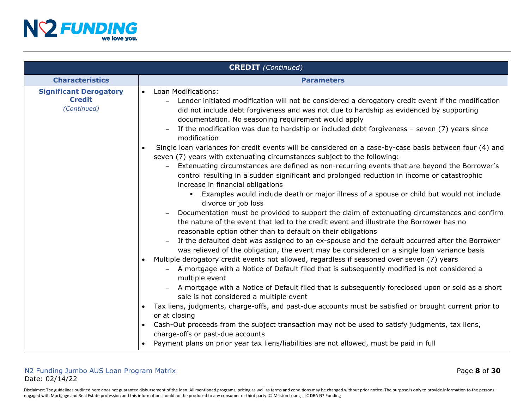

|                                                               | <b>CREDIT</b> (Continued)                                                                                                                                                                                                                                                                                                                                                                                                                                                                                                                                                                                                                                                                                                                                                                                                                                                                                                                                                                                                                                                                                                                                                                                                                                                                                                                                                                                                                                                                                                                                                                                                                                                                                                                                  |
|---------------------------------------------------------------|------------------------------------------------------------------------------------------------------------------------------------------------------------------------------------------------------------------------------------------------------------------------------------------------------------------------------------------------------------------------------------------------------------------------------------------------------------------------------------------------------------------------------------------------------------------------------------------------------------------------------------------------------------------------------------------------------------------------------------------------------------------------------------------------------------------------------------------------------------------------------------------------------------------------------------------------------------------------------------------------------------------------------------------------------------------------------------------------------------------------------------------------------------------------------------------------------------------------------------------------------------------------------------------------------------------------------------------------------------------------------------------------------------------------------------------------------------------------------------------------------------------------------------------------------------------------------------------------------------------------------------------------------------------------------------------------------------------------------------------------------------|
| <b>Characteristics</b>                                        | <b>Parameters</b>                                                                                                                                                                                                                                                                                                                                                                                                                                                                                                                                                                                                                                                                                                                                                                                                                                                                                                                                                                                                                                                                                                                                                                                                                                                                                                                                                                                                                                                                                                                                                                                                                                                                                                                                          |
| <b>Significant Derogatory</b><br><b>Credit</b><br>(Continued) | Loan Modifications:<br>$\bullet$<br>Lender initiated modification will not be considered a derogatory credit event if the modification<br>did not include debt forgiveness and was not due to hardship as evidenced by supporting<br>documentation. No seasoning requirement would apply<br>If the modification was due to hardship or included debt forgiveness - seven (7) years since<br>modification<br>Single loan variances for credit events will be considered on a case-by-case basis between four (4) and<br>seven (7) years with extenuating circumstances subject to the following:<br>Extenuating circumstances are defined as non-recurring events that are beyond the Borrower's<br>control resulting in a sudden significant and prolonged reduction in income or catastrophic<br>increase in financial obligations<br><b>Examples would include death or major illness of a spouse or child but would not include</b><br>divorce or job loss<br>Documentation must be provided to support the claim of extenuating circumstances and confirm<br>the nature of the event that led to the credit event and illustrate the Borrower has no<br>reasonable option other than to default on their obligations<br>If the defaulted debt was assigned to an ex-spouse and the default occurred after the Borrower<br>was relieved of the obligation, the event may be considered on a single loan variance basis<br>Multiple derogatory credit events not allowed, regardless if seasoned over seven (7) years<br>$\bullet$<br>A mortgage with a Notice of Default filed that is subsequently modified is not considered a<br>multiple event<br>A mortgage with a Notice of Default filed that is subsequently foreclosed upon or sold as a short |
|                                                               | sale is not considered a multiple event<br>Tax liens, judgments, charge-offs, and past-due accounts must be satisfied or brought current prior to<br>or at closing                                                                                                                                                                                                                                                                                                                                                                                                                                                                                                                                                                                                                                                                                                                                                                                                                                                                                                                                                                                                                                                                                                                                                                                                                                                                                                                                                                                                                                                                                                                                                                                         |
|                                                               | Cash-Out proceeds from the subject transaction may not be used to satisfy judgments, tax liens,<br>charge-offs or past-due accounts                                                                                                                                                                                                                                                                                                                                                                                                                                                                                                                                                                                                                                                                                                                                                                                                                                                                                                                                                                                                                                                                                                                                                                                                                                                                                                                                                                                                                                                                                                                                                                                                                        |
|                                                               | Payment plans on prior year tax liens/liabilities are not allowed, must be paid in full                                                                                                                                                                                                                                                                                                                                                                                                                                                                                                                                                                                                                                                                                                                                                                                                                                                                                                                                                                                                                                                                                                                                                                                                                                                                                                                                                                                                                                                                                                                                                                                                                                                                    |

# N2 Funding Jumbo AUS Loan Program Matrix Page **8** of **30** Date: 02/14/22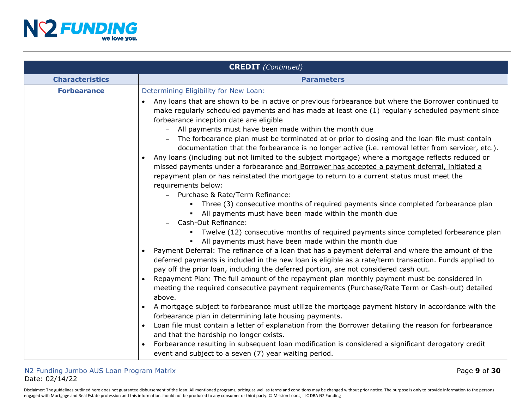

|                        | <b>CREDIT</b> (Continued)                                                                                                                                                                                                                                                                                                                                                                                                                                                                                                                                                                                                                                                                                                                                                                                                                                                                                                                                                                                                                                                                                                                                                                                                                                                                                                                                                                                                                                                                                                                                                                                                                                                                                                                                                                                                                                                                                                                                                                                                                                                                                                                                                                                                                                                                         |
|------------------------|---------------------------------------------------------------------------------------------------------------------------------------------------------------------------------------------------------------------------------------------------------------------------------------------------------------------------------------------------------------------------------------------------------------------------------------------------------------------------------------------------------------------------------------------------------------------------------------------------------------------------------------------------------------------------------------------------------------------------------------------------------------------------------------------------------------------------------------------------------------------------------------------------------------------------------------------------------------------------------------------------------------------------------------------------------------------------------------------------------------------------------------------------------------------------------------------------------------------------------------------------------------------------------------------------------------------------------------------------------------------------------------------------------------------------------------------------------------------------------------------------------------------------------------------------------------------------------------------------------------------------------------------------------------------------------------------------------------------------------------------------------------------------------------------------------------------------------------------------------------------------------------------------------------------------------------------------------------------------------------------------------------------------------------------------------------------------------------------------------------------------------------------------------------------------------------------------------------------------------------------------------------------------------------------------|
| <b>Characteristics</b> | <b>Parameters</b>                                                                                                                                                                                                                                                                                                                                                                                                                                                                                                                                                                                                                                                                                                                                                                                                                                                                                                                                                                                                                                                                                                                                                                                                                                                                                                                                                                                                                                                                                                                                                                                                                                                                                                                                                                                                                                                                                                                                                                                                                                                                                                                                                                                                                                                                                 |
| <b>Forbearance</b>     | Determining Eligibility for New Loan:<br>Any loans that are shown to be in active or previous forbearance but where the Borrower continued to<br>$\bullet$<br>make regularly scheduled payments and has made at least one (1) regularly scheduled payment since<br>forbearance inception date are eligible<br>All payments must have been made within the month due<br>$ \,$<br>The forbearance plan must be terminated at or prior to closing and the loan file must contain<br>documentation that the forbearance is no longer active (i.e. removal letter from servicer, etc.).<br>Any loans (including but not limited to the subject mortgage) where a mortgage reflects reduced or<br>$\bullet$<br>missed payments under a forbearance and Borrower has accepted a payment deferral, initiated a<br>repayment plan or has reinstated the mortgage to return to a current status must meet the<br>requirements below:<br>- Purchase & Rate/Term Refinance:<br>Three (3) consecutive months of required payments since completed forbearance plan<br>• All payments must have been made within the month due<br>Cash-Out Refinance:<br>Twelve (12) consecutive months of required payments since completed forbearance plan<br>• All payments must have been made within the month due<br>Payment Deferral: The refinance of a loan that has a payment deferral and where the amount of the<br>deferred payments is included in the new loan is eligible as a rate/term transaction. Funds applied to<br>pay off the prior loan, including the deferred portion, are not considered cash out.<br>Repayment Plan: The full amount of the repayment plan monthly payment must be considered in<br>meeting the required consecutive payment requirements (Purchase/Rate Term or Cash-out) detailed<br>above.<br>A mortgage subject to forbearance must utilize the mortgage payment history in accordance with the<br>forbearance plan in determining late housing payments.<br>Loan file must contain a letter of explanation from the Borrower detailing the reason for forbearance<br>and that the hardship no longer exists.<br>Forbearance resulting in subsequent loan modification is considered a significant derogatory credit<br>event and subject to a seven (7) year waiting period. |

Disclaimer: The guidelines outlined here does not guarantee disbursement of the loan. All mentioned programs, pricing as well as terms and conditions may be changed without prior notice. The purpose is only to provide info engaged with Mortgage and Real Estate profession and this information should not be produced to any consumer or third party. © Mission Loans, LLC DBA N2 Funding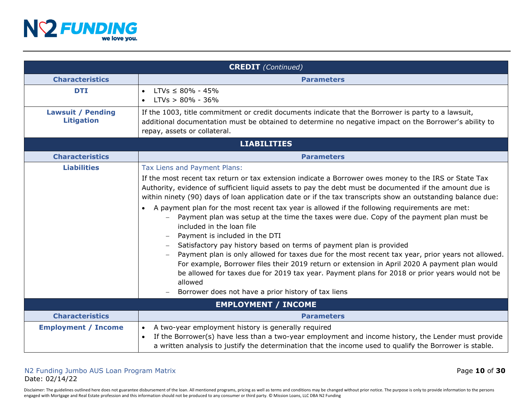

| <b>CREDIT</b> (Continued)                     |                                                                                                                                                                                                                                                                                                                                                                                                                                                                                                                                                                                                                                                                                                                                                                                                                                                                                                                                                                                                                                                                             |  |  |
|-----------------------------------------------|-----------------------------------------------------------------------------------------------------------------------------------------------------------------------------------------------------------------------------------------------------------------------------------------------------------------------------------------------------------------------------------------------------------------------------------------------------------------------------------------------------------------------------------------------------------------------------------------------------------------------------------------------------------------------------------------------------------------------------------------------------------------------------------------------------------------------------------------------------------------------------------------------------------------------------------------------------------------------------------------------------------------------------------------------------------------------------|--|--|
| <b>Characteristics</b>                        | <b>Parameters</b>                                                                                                                                                                                                                                                                                                                                                                                                                                                                                                                                                                                                                                                                                                                                                                                                                                                                                                                                                                                                                                                           |  |  |
| <b>DTI</b>                                    | $LTVs \leq 80\% - 45\%$<br>$\bullet$<br>$LTVs > 80\% - 36\%$<br>$\bullet$                                                                                                                                                                                                                                                                                                                                                                                                                                                                                                                                                                                                                                                                                                                                                                                                                                                                                                                                                                                                   |  |  |
| <b>Lawsuit / Pending</b><br><b>Litigation</b> | If the 1003, title commitment or credit documents indicate that the Borrower is party to a lawsuit,<br>additional documentation must be obtained to determine no negative impact on the Borrower's ability to<br>repay, assets or collateral.                                                                                                                                                                                                                                                                                                                                                                                                                                                                                                                                                                                                                                                                                                                                                                                                                               |  |  |
|                                               | <b>LIABILITIES</b>                                                                                                                                                                                                                                                                                                                                                                                                                                                                                                                                                                                                                                                                                                                                                                                                                                                                                                                                                                                                                                                          |  |  |
| <b>Characteristics</b>                        | <b>Parameters</b>                                                                                                                                                                                                                                                                                                                                                                                                                                                                                                                                                                                                                                                                                                                                                                                                                                                                                                                                                                                                                                                           |  |  |
| <b>Liabilities</b>                            | Tax Liens and Payment Plans:<br>If the most recent tax return or tax extension indicate a Borrower owes money to the IRS or State Tax<br>Authority, evidence of sufficient liquid assets to pay the debt must be documented if the amount due is<br>within ninety (90) days of loan application date or if the tax transcripts show an outstanding balance due:<br>A payment plan for the most recent tax year is allowed if the following requirements are met:<br>Payment plan was setup at the time the taxes were due. Copy of the payment plan must be<br>included in the loan file<br>Payment is included in the DTI<br>Satisfactory pay history based on terms of payment plan is provided<br>Payment plan is only allowed for taxes due for the most recent tax year, prior years not allowed.<br>For example, Borrower files their 2019 return or extension in April 2020 A payment plan would<br>be allowed for taxes due for 2019 tax year. Payment plans for 2018 or prior years would not be<br>allowed<br>Borrower does not have a prior history of tax liens |  |  |
|                                               | <b>EMPLOYMENT / INCOME</b>                                                                                                                                                                                                                                                                                                                                                                                                                                                                                                                                                                                                                                                                                                                                                                                                                                                                                                                                                                                                                                                  |  |  |
| <b>Characteristics</b>                        | <b>Parameters</b>                                                                                                                                                                                                                                                                                                                                                                                                                                                                                                                                                                                                                                                                                                                                                                                                                                                                                                                                                                                                                                                           |  |  |
| <b>Employment / Income</b>                    | A two-year employment history is generally required<br>$\bullet$<br>If the Borrower(s) have less than a two-year employment and income history, the Lender must provide<br>$\bullet$<br>a written analysis to justify the determination that the income used to qualify the Borrower is stable.                                                                                                                                                                                                                                                                                                                                                                                                                                                                                                                                                                                                                                                                                                                                                                             |  |  |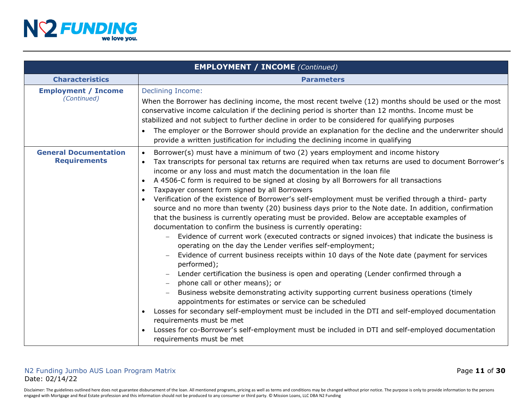

|                                                     | <b>EMPLOYMENT / INCOME</b> (Continued)                                                                                                                                                                                                                                                                                                                                                                                                                                                                                                                                                                                                                                                                                                                                                                                                                                                                                                                                                                                                                                                                                                                                                                                                                                                                                                                                                                                                                                                                                                                                                                                                                                                |
|-----------------------------------------------------|---------------------------------------------------------------------------------------------------------------------------------------------------------------------------------------------------------------------------------------------------------------------------------------------------------------------------------------------------------------------------------------------------------------------------------------------------------------------------------------------------------------------------------------------------------------------------------------------------------------------------------------------------------------------------------------------------------------------------------------------------------------------------------------------------------------------------------------------------------------------------------------------------------------------------------------------------------------------------------------------------------------------------------------------------------------------------------------------------------------------------------------------------------------------------------------------------------------------------------------------------------------------------------------------------------------------------------------------------------------------------------------------------------------------------------------------------------------------------------------------------------------------------------------------------------------------------------------------------------------------------------------------------------------------------------------|
| <b>Characteristics</b>                              | <b>Parameters</b>                                                                                                                                                                                                                                                                                                                                                                                                                                                                                                                                                                                                                                                                                                                                                                                                                                                                                                                                                                                                                                                                                                                                                                                                                                                                                                                                                                                                                                                                                                                                                                                                                                                                     |
| <b>Employment / Income</b><br>(Continued)           | <b>Declining Income:</b><br>When the Borrower has declining income, the most recent twelve (12) months should be used or the most<br>conservative income calculation if the declining period is shorter than 12 months. Income must be<br>stabilized and not subject to further decline in order to be considered for qualifying purposes<br>The employer or the Borrower should provide an explanation for the decline and the underwriter should<br>provide a written justification for including the declining income in qualifying                                                                                                                                                                                                                                                                                                                                                                                                                                                                                                                                                                                                                                                                                                                                                                                                                                                                                                                                                                                                                                                                                                                                                |
| <b>General Documentation</b><br><b>Requirements</b> | Borrower(s) must have a minimum of two (2) years employment and income history<br>$\bullet$<br>Tax transcripts for personal tax returns are required when tax returns are used to document Borrower's<br>$\bullet$<br>income or any loss and must match the documentation in the loan file<br>A 4506-C form is required to be signed at closing by all Borrowers for all transactions<br>$\bullet$<br>Taxpayer consent form signed by all Borrowers<br>$\bullet$<br>Verification of the existence of Borrower's self-employment must be verified through a third- party<br>$\bullet$<br>source and no more than twenty (20) business days prior to the Note date. In addition, confirmation<br>that the business is currently operating must be provided. Below are acceptable examples of<br>documentation to confirm the business is currently operating:<br>Evidence of current work (executed contracts or signed invoices) that indicate the business is<br>operating on the day the Lender verifies self-employment;<br>Evidence of current business receipts within 10 days of the Note date (payment for services<br>performed);<br>Lender certification the business is open and operating (Lender confirmed through a<br>phone call or other means); or<br>Business website demonstrating activity supporting current business operations (timely<br>appointments for estimates or service can be scheduled<br>Losses for secondary self-employment must be included in the DTI and self-employed documentation<br>requirements must be met<br>Losses for co-Borrower's self-employment must be included in DTI and self-employed documentation<br>requirements must be met |

# N2 Funding Jumbo AUS Loan Program Matrix **Page 11 of 30** and the state of **11** of **30** Date: 02/14/22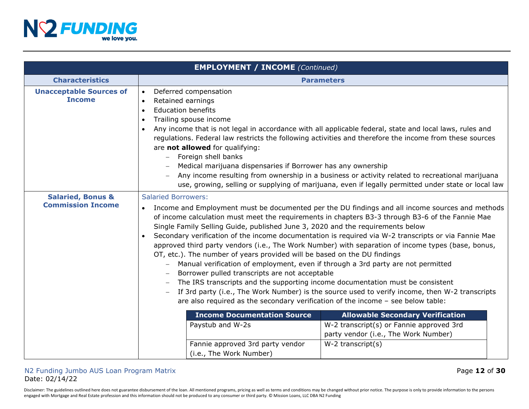

| <b>EMPLOYMENT / INCOME (Continued)</b>                   |                                                                                                                                                                                                                                                                                                                                                                                                                                                                                                                                                                                                                                                                                                                                                                                                                                                                                                                                                                                                                               |  |  |
|----------------------------------------------------------|-------------------------------------------------------------------------------------------------------------------------------------------------------------------------------------------------------------------------------------------------------------------------------------------------------------------------------------------------------------------------------------------------------------------------------------------------------------------------------------------------------------------------------------------------------------------------------------------------------------------------------------------------------------------------------------------------------------------------------------------------------------------------------------------------------------------------------------------------------------------------------------------------------------------------------------------------------------------------------------------------------------------------------|--|--|
| <b>Characteristics</b>                                   | <b>Parameters</b>                                                                                                                                                                                                                                                                                                                                                                                                                                                                                                                                                                                                                                                                                                                                                                                                                                                                                                                                                                                                             |  |  |
| <b>Unacceptable Sources of</b><br><b>Income</b>          | Deferred compensation<br>$\bullet$<br>Retained earnings<br>$\bullet$<br><b>Education benefits</b><br>$\bullet$<br>Trailing spouse income<br>$\bullet$<br>Any income that is not legal in accordance with all applicable federal, state and local laws, rules and<br>$\bullet$<br>regulations. Federal law restricts the following activities and therefore the income from these sources<br>are not allowed for qualifying:<br>Foreign shell banks<br>Medical marijuana dispensaries if Borrower has any ownership<br>Any income resulting from ownership in a business or activity related to recreational marijuana<br>use, growing, selling or supplying of marijuana, even if legally permitted under state or local law                                                                                                                                                                                                                                                                                                  |  |  |
| <b>Salaried, Bonus &amp;</b><br><b>Commission Income</b> | <b>Salaried Borrowers:</b><br>Income and Employment must be documented per the DU findings and all income sources and methods<br>of income calculation must meet the requirements in chapters B3-3 through B3-6 of the Fannie Mae<br>Single Family Selling Guide, published June 3, 2020 and the requirements below<br>Secondary verification of the income documentation is required via W-2 transcripts or via Fannie Mae<br>approved third party vendors (i.e., The Work Number) with separation of income types (base, bonus,<br>OT, etc.). The number of years provided will be based on the DU findings<br>Manual verification of employment, even if through a 3rd party are not permitted<br>Borrower pulled transcripts are not acceptable<br>The IRS transcripts and the supporting income documentation must be consistent<br>If 3rd party (i.e., The Work Number) is the source used to verify income, then W-2 transcripts<br>are also required as the secondary verification of the income $-$ see below table: |  |  |
|                                                          | <b>Income Documentation Source</b><br><b>Allowable Secondary Verification</b><br>Paystub and W-2s<br>W-2 transcript(s) or Fannie approved 3rd<br>party vendor (i.e., The Work Number)<br>Fannie approved 3rd party vendor<br>$W-2$ transcript $(s)$<br>(i.e., The Work Number)                                                                                                                                                                                                                                                                                                                                                                                                                                                                                                                                                                                                                                                                                                                                                |  |  |

## N2 Funding Jumbo AUS Loan Program Matrix **Page 12 of 30** and the state of **12** of **30** Date: 02/14/22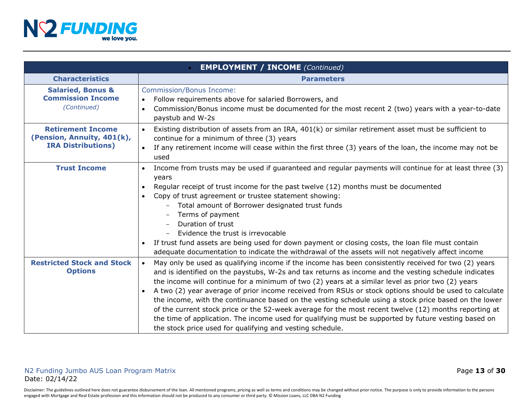

|                                                                                     | <b>EMPLOYMENT / INCOME</b> (Continued)                                                                                                                                                                                                                                                                                                                                                                                                                                                                                                                                                                                                                                                                                                                                                                                          |
|-------------------------------------------------------------------------------------|---------------------------------------------------------------------------------------------------------------------------------------------------------------------------------------------------------------------------------------------------------------------------------------------------------------------------------------------------------------------------------------------------------------------------------------------------------------------------------------------------------------------------------------------------------------------------------------------------------------------------------------------------------------------------------------------------------------------------------------------------------------------------------------------------------------------------------|
| <b>Characteristics</b>                                                              | <b>Parameters</b>                                                                                                                                                                                                                                                                                                                                                                                                                                                                                                                                                                                                                                                                                                                                                                                                               |
| <b>Salaried, Bonus &amp;</b><br><b>Commission Income</b><br>(Continued)             | <b>Commission/Bonus Income:</b><br>Follow requirements above for salaried Borrowers, and<br>$\bullet$<br>Commission/Bonus income must be documented for the most recent 2 (two) years with a year-to-date<br>$\bullet$<br>paystub and W-2s                                                                                                                                                                                                                                                                                                                                                                                                                                                                                                                                                                                      |
| <b>Retirement Income</b><br>(Pension, Annuity, 401(k),<br><b>IRA Distributions)</b> | Existing distribution of assets from an IRA, 401(k) or similar retirement asset must be sufficient to<br>continue for a minimum of three (3) years<br>If any retirement income will cease within the first three (3) years of the loan, the income may not be<br>used                                                                                                                                                                                                                                                                                                                                                                                                                                                                                                                                                           |
| <b>Trust Income</b>                                                                 | Income from trusts may be used if guaranteed and regular payments will continue for at least three (3)<br>$\bullet$<br>years<br>Regular receipt of trust income for the past twelve (12) months must be documented<br>$\bullet$<br>Copy of trust agreement or trustee statement showing:<br>$\bullet$<br>Total amount of Borrower designated trust funds<br>Terms of payment<br>Duration of trust<br>Evidence the trust is irrevocable<br>If trust fund assets are being used for down payment or closing costs, the loan file must contain<br>adequate documentation to indicate the withdrawal of the assets will not negatively affect income                                                                                                                                                                                |
| <b>Restricted Stock and Stock</b><br><b>Options</b>                                 | May only be used as qualifying income if the income has been consistently received for two (2) years<br>$\bullet$<br>and is identified on the paystubs, W-2s and tax returns as income and the vesting schedule indicates<br>the income will continue for a minimum of two (2) years at a similar level as prior two (2) years<br>A two (2) year average of prior income received from RSUs or stock options should be used to calculate<br>the income, with the continuance based on the vesting schedule using a stock price based on the lower<br>of the current stock price or the 52-week average for the most recent twelve (12) months reporting at<br>the time of application. The income used for qualifying must be supported by future vesting based on<br>the stock price used for qualifying and vesting schedule. |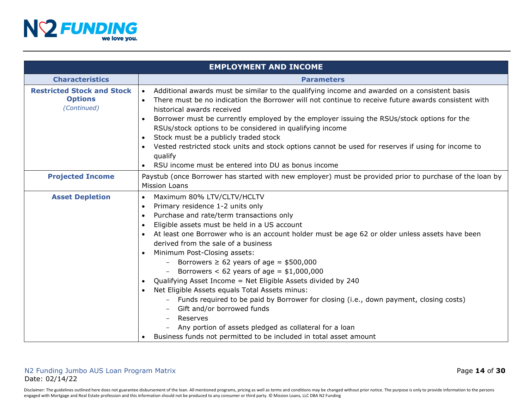

|                                                                    | <b>EMPLOYMENT AND INCOME</b>                                                                                                                                                                                                                                                                                                                                                                                                                                                                                                                                                                                                                                                                                                                                                                                                                                                                                               |
|--------------------------------------------------------------------|----------------------------------------------------------------------------------------------------------------------------------------------------------------------------------------------------------------------------------------------------------------------------------------------------------------------------------------------------------------------------------------------------------------------------------------------------------------------------------------------------------------------------------------------------------------------------------------------------------------------------------------------------------------------------------------------------------------------------------------------------------------------------------------------------------------------------------------------------------------------------------------------------------------------------|
| <b>Characteristics</b>                                             | <b>Parameters</b>                                                                                                                                                                                                                                                                                                                                                                                                                                                                                                                                                                                                                                                                                                                                                                                                                                                                                                          |
| <b>Restricted Stock and Stock</b><br><b>Options</b><br>(Continued) | Additional awards must be similar to the qualifying income and awarded on a consistent basis<br>$\bullet$<br>There must be no indication the Borrower will not continue to receive future awards consistent with<br>$\bullet$<br>historical awards received<br>Borrower must be currently employed by the employer issuing the RSUs/stock options for the<br>$\bullet$<br>RSUs/stock options to be considered in qualifying income<br>Stock must be a publicly traded stock<br>Vested restricted stock units and stock options cannot be used for reserves if using for income to<br>qualify<br>RSU income must be entered into DU as bonus income                                                                                                                                                                                                                                                                         |
| <b>Projected Income</b>                                            | Paystub (once Borrower has started with new employer) must be provided prior to purchase of the loan by<br><b>Mission Loans</b>                                                                                                                                                                                                                                                                                                                                                                                                                                                                                                                                                                                                                                                                                                                                                                                            |
| <b>Asset Depletion</b>                                             | Maximum 80% LTV/CLTV/HCLTV<br>$\bullet$<br>Primary residence 1-2 units only<br>$\bullet$<br>Purchase and rate/term transactions only<br>$\bullet$<br>Eligible assets must be held in a US account<br>$\bullet$<br>At least one Borrower who is an account holder must be age 62 or older unless assets have been<br>derived from the sale of a business<br>Minimum Post-Closing assets:<br>$\bullet$<br>Borrowers $\geq 62$ years of age = \$500,000<br>Borrowers $< 62$ years of age = \$1,000,000<br>Qualifying Asset Income = Net Eligible Assets divided by 240<br>$\bullet$<br>Net Eligible Assets equals Total Assets minus:<br>$\bullet$<br>- Funds required to be paid by Borrower for closing (i.e., down payment, closing costs)<br>Gift and/or borrowed funds<br>Reserves<br>$-$<br>Any portion of assets pledged as collateral for a loan<br>Business funds not permitted to be included in total asset amount |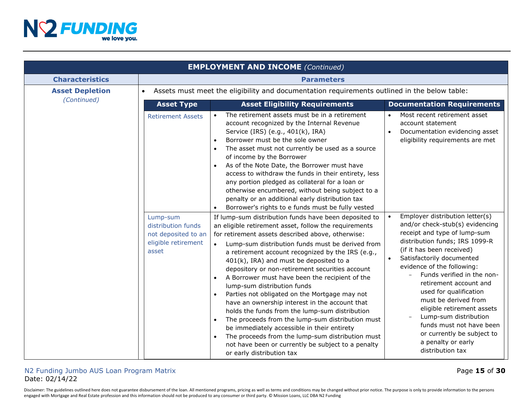

|                        |                                                                                                                   | <b>EMPLOYMENT AND INCOME (Continued)</b>                                                                                                                                                                                                                                                                                                                                                                                                                                                                                                                                                                                                                                                                                                                                                                                                                                                          |                                                                                                                                                                                                                                                                                                                                           |  |
|------------------------|-------------------------------------------------------------------------------------------------------------------|---------------------------------------------------------------------------------------------------------------------------------------------------------------------------------------------------------------------------------------------------------------------------------------------------------------------------------------------------------------------------------------------------------------------------------------------------------------------------------------------------------------------------------------------------------------------------------------------------------------------------------------------------------------------------------------------------------------------------------------------------------------------------------------------------------------------------------------------------------------------------------------------------|-------------------------------------------------------------------------------------------------------------------------------------------------------------------------------------------------------------------------------------------------------------------------------------------------------------------------------------------|--|
| <b>Characteristics</b> |                                                                                                                   | <b>Parameters</b>                                                                                                                                                                                                                                                                                                                                                                                                                                                                                                                                                                                                                                                                                                                                                                                                                                                                                 |                                                                                                                                                                                                                                                                                                                                           |  |
| <b>Asset Depletion</b> | $\bullet$                                                                                                         | Assets must meet the eligibility and documentation requirements outlined in the below table:                                                                                                                                                                                                                                                                                                                                                                                                                                                                                                                                                                                                                                                                                                                                                                                                      |                                                                                                                                                                                                                                                                                                                                           |  |
| (Continued)            | <b>Asset Type</b>                                                                                                 | <b>Asset Eligibility Requirements</b>                                                                                                                                                                                                                                                                                                                                                                                                                                                                                                                                                                                                                                                                                                                                                                                                                                                             | <b>Documentation Requirements</b>                                                                                                                                                                                                                                                                                                         |  |
|                        | <b>Retirement Assets</b><br>Lump-sum<br>distribution funds<br>not deposited to an<br>eligible retirement<br>asset | The retirement assets must be in a retirement<br>account recognized by the Internal Revenue<br>Service (IRS) (e.g., 401(k), IRA)<br>Borrower must be the sole owner<br>$\bullet$<br>The asset must not currently be used as a source<br>$\bullet$<br>of income by the Borrower<br>As of the Note Date, the Borrower must have<br>$\bullet$<br>access to withdraw the funds in their entirety, less<br>any portion pledged as collateral for a loan or<br>otherwise encumbered, without being subject to a<br>penalty or an additional early distribution tax<br>Borrower's rights to e funds must be fully vested<br>If lump-sum distribution funds have been deposited to<br>an eligible retirement asset, follow the requirements<br>for retirement assets described above, otherwise:<br>Lump-sum distribution funds must be derived from<br>a retirement account recognized by the IRS (e.g., | Most recent retirement asset<br>$\bullet$<br>account statement<br>Documentation evidencing asset<br>$\bullet$<br>eligibility requirements are met<br>Employer distribution letter(s)<br>$\bullet$<br>and/or check-stub(s) evidencing<br>receipt and type of lump-sum<br>distribution funds; IRS 1099-R<br>(if it has been received)       |  |
|                        |                                                                                                                   | 401(k), IRA) and must be deposited to a<br>depository or non-retirement securities account<br>A Borrower must have been the recipient of the<br>$\bullet$<br>lump-sum distribution funds<br>Parties not obligated on the Mortgage may not<br>have an ownership interest in the account that<br>holds the funds from the lump-sum distribution<br>The proceeds from the lump-sum distribution must<br>be immediately accessible in their entirety<br>The proceeds from the lump-sum distribution must<br>not have been or currently be subject to a penalty<br>or early distribution tax                                                                                                                                                                                                                                                                                                           | Satisfactorily documented<br>$\bullet$<br>evidence of the following:<br>Funds verified in the non-<br>retirement account and<br>used for qualification<br>must be derived from<br>eligible retirement assets<br>Lump-sum distribution<br>funds must not have been<br>or currently be subject to<br>a penalty or early<br>distribution tax |  |

## N2 Funding Jumbo AUS Loan Program Matrix **Austin 2018** of **30** Page **15** of **30** Date: 02/14/22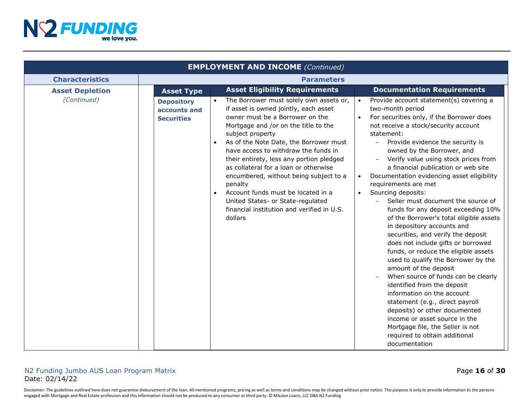

| <b>EMPLOYMENT AND INCOME (Continued)</b> |                                                        |                                                                                                                                                                                                                                                                                                                                                                                                                                                                                                                                                                           |                                                                                                                                                                                                                                                                                                                                                                                                                                                                                                                                                                                                                                                                                                                                                                                                                                                                                                                                                                                                                                                                                            |
|------------------------------------------|--------------------------------------------------------|---------------------------------------------------------------------------------------------------------------------------------------------------------------------------------------------------------------------------------------------------------------------------------------------------------------------------------------------------------------------------------------------------------------------------------------------------------------------------------------------------------------------------------------------------------------------------|--------------------------------------------------------------------------------------------------------------------------------------------------------------------------------------------------------------------------------------------------------------------------------------------------------------------------------------------------------------------------------------------------------------------------------------------------------------------------------------------------------------------------------------------------------------------------------------------------------------------------------------------------------------------------------------------------------------------------------------------------------------------------------------------------------------------------------------------------------------------------------------------------------------------------------------------------------------------------------------------------------------------------------------------------------------------------------------------|
| <b>Characteristics</b>                   | <b>Parameters</b>                                      |                                                                                                                                                                                                                                                                                                                                                                                                                                                                                                                                                                           |                                                                                                                                                                                                                                                                                                                                                                                                                                                                                                                                                                                                                                                                                                                                                                                                                                                                                                                                                                                                                                                                                            |
| <b>Asset Depletion</b>                   | <b>Asset Type</b>                                      | <b>Asset Eligibility Requirements</b>                                                                                                                                                                                                                                                                                                                                                                                                                                                                                                                                     | <b>Documentation Requirements</b>                                                                                                                                                                                                                                                                                                                                                                                                                                                                                                                                                                                                                                                                                                                                                                                                                                                                                                                                                                                                                                                          |
| (Continued)                              | <b>Depository</b><br>accounts and<br><b>Securities</b> | The Borrower must solely own assets or,<br>if asset is owned jointly, each asset<br>owner must be a Borrower on the<br>Mortgage and /or on the title to the<br>subject property<br>As of the Note Date, the Borrower must<br>$\bullet$<br>have access to withdraw the funds in<br>their entirety, less any portion pledged<br>as collateral for a loan or otherwise<br>encumbered, without being subject to a<br>penalty<br>Account funds must be located in a<br>$\bullet$<br>United States- or State-regulated<br>financial institution and verified in U.S.<br>dollars | Provide account statement(s) covering a<br>two-month period<br>For securities only, if the Borrower does<br>not receive a stock/security account<br>statement:<br>Provide evidence the security is<br>$\equiv$<br>owned by the Borrower, and<br>Verify value using stock prices from<br>a financial publication or web site<br>Documentation evidencing asset eligibility<br>$\bullet$<br>requirements are met<br>Sourcing deposits:<br>$\bullet$<br>Seller must document the source of<br>funds for any deposit exceeding 10%<br>of the Borrower's total eligible assets<br>in depository accounts and<br>securities, and verify the deposit<br>does not include gifts or borrowed<br>funds, or reduce the eligible assets<br>used to qualify the Borrower by the<br>amount of the deposit<br>When source of funds can be clearly<br>identified from the deposit<br>information on the account<br>statement (e.g., direct payroll<br>deposits) or other documented<br>income or asset source in the<br>Mortgage file, the Seller is not<br>required to obtain additional<br>documentation |

## N2 Funding Jumbo AUS Loan Program Matrix **Page 16** of **30** and **Page 16** of **30** Date: 02/14/22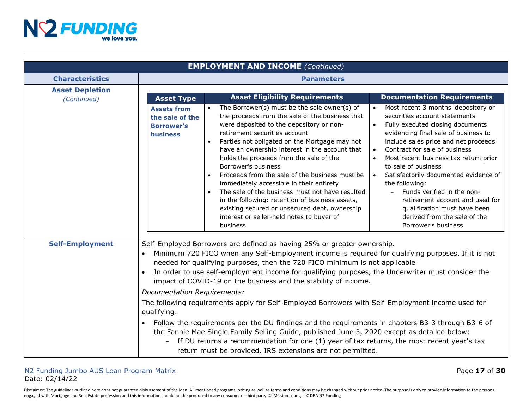

|                                       |                                                                               | <b>EMPLOYMENT AND INCOME (Continued)</b>                                                                                                                                                                                                                                                                                                                                                                                                                                                                                                                                                                                                                                                                                                                                                                                                                                                                   |                                                                                                                                                                                                                                                                                                                                                                                                                                                                                                                                                                    |
|---------------------------------------|-------------------------------------------------------------------------------|------------------------------------------------------------------------------------------------------------------------------------------------------------------------------------------------------------------------------------------------------------------------------------------------------------------------------------------------------------------------------------------------------------------------------------------------------------------------------------------------------------------------------------------------------------------------------------------------------------------------------------------------------------------------------------------------------------------------------------------------------------------------------------------------------------------------------------------------------------------------------------------------------------|--------------------------------------------------------------------------------------------------------------------------------------------------------------------------------------------------------------------------------------------------------------------------------------------------------------------------------------------------------------------------------------------------------------------------------------------------------------------------------------------------------------------------------------------------------------------|
| <b>Characteristics</b>                |                                                                               | <b>Parameters</b>                                                                                                                                                                                                                                                                                                                                                                                                                                                                                                                                                                                                                                                                                                                                                                                                                                                                                          |                                                                                                                                                                                                                                                                                                                                                                                                                                                                                                                                                                    |
| <b>Asset Depletion</b><br>(Continued) | <b>Asset Type</b>                                                             | <b>Asset Eligibility Requirements</b>                                                                                                                                                                                                                                                                                                                                                                                                                                                                                                                                                                                                                                                                                                                                                                                                                                                                      | <b>Documentation Requirements</b>                                                                                                                                                                                                                                                                                                                                                                                                                                                                                                                                  |
|                                       | <b>Assets from</b><br>the sale of the<br><b>Borrower's</b><br><b>business</b> | The Borrower(s) must be the sole owner(s) of<br>the proceeds from the sale of the business that<br>were deposited to the depository or non-<br>retirement securities account<br>Parties not obligated on the Mortgage may not<br>have an ownership interest in the account that<br>holds the proceeds from the sale of the<br>Borrower's business<br>Proceeds from the sale of the business must be<br>immediately accessible in their entirety<br>The sale of the business must not have resulted<br>$\bullet$<br>in the following: retention of business assets,<br>existing secured or unsecured debt, ownership<br>interest or seller-held notes to buyer of<br>business                                                                                                                                                                                                                               | Most recent 3 months' depository or<br>securities account statements<br>Fully executed closing documents<br>$\bullet$<br>evidencing final sale of business to<br>include sales price and net proceeds<br>Contract for sale of business<br>$\bullet$<br>Most recent business tax return prior<br>to sale of business<br>Satisfactorily documented evidence of<br>the following:<br>Funds verified in the non-<br>$\overline{\phantom{a}}$<br>retirement account and used for<br>qualification must have been<br>derived from the sale of the<br>Borrower's business |
| <b>Self-Employment</b>                | $\bullet$<br>$\bullet$<br>Documentation Requirements:<br>qualifying:          | Self-Employed Borrowers are defined as having 25% or greater ownership.<br>Minimum 720 FICO when any Self-Employment income is required for qualifying purposes. If it is not<br>needed for qualifying purposes, then the 720 FICO minimum is not applicable<br>In order to use self-employment income for qualifying purposes, the Underwriter must consider the<br>impact of COVID-19 on the business and the stability of income.<br>The following requirements apply for Self-Employed Borrowers with Self-Employment income used for<br>Follow the requirements per the DU findings and the requirements in chapters B3-3 through B3-6 of<br>the Fannie Mae Single Family Selling Guide, published June 3, 2020 except as detailed below:<br>If DU returns a recommendation for one (1) year of tax returns, the most recent year's tax<br>return must be provided. IRS extensions are not permitted. |                                                                                                                                                                                                                                                                                                                                                                                                                                                                                                                                                                    |

# N2 Funding Jumbo AUS Loan Program Matrix Page **17** of **30** Date: 02/14/22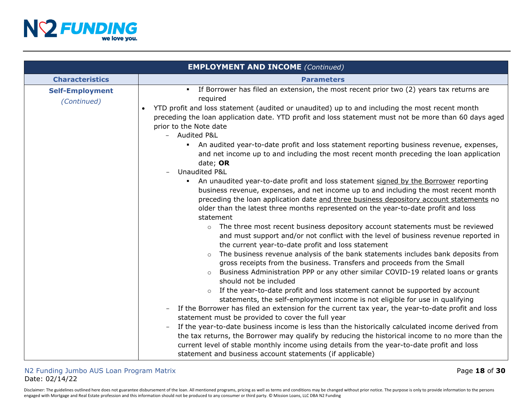

|                                       | <b>EMPLOYMENT AND INCOME (Continued)</b>                                                                                                                                                                                                                                                                                                                                                                                                                                                                                                                                                                                                                                                                                                                                                                                                                                                                                                                                                                                                                                                                                                                                                                                                                                                                                                                                                                                                                                                                                                                                                                                                                                                                                                                                                                                                                                                                                                                                                                                                                                                                                                                                                                                  |
|---------------------------------------|---------------------------------------------------------------------------------------------------------------------------------------------------------------------------------------------------------------------------------------------------------------------------------------------------------------------------------------------------------------------------------------------------------------------------------------------------------------------------------------------------------------------------------------------------------------------------------------------------------------------------------------------------------------------------------------------------------------------------------------------------------------------------------------------------------------------------------------------------------------------------------------------------------------------------------------------------------------------------------------------------------------------------------------------------------------------------------------------------------------------------------------------------------------------------------------------------------------------------------------------------------------------------------------------------------------------------------------------------------------------------------------------------------------------------------------------------------------------------------------------------------------------------------------------------------------------------------------------------------------------------------------------------------------------------------------------------------------------------------------------------------------------------------------------------------------------------------------------------------------------------------------------------------------------------------------------------------------------------------------------------------------------------------------------------------------------------------------------------------------------------------------------------------------------------------------------------------------------------|
| <b>Characteristics</b>                | <b>Parameters</b>                                                                                                                                                                                                                                                                                                                                                                                                                                                                                                                                                                                                                                                                                                                                                                                                                                                                                                                                                                                                                                                                                                                                                                                                                                                                                                                                                                                                                                                                                                                                                                                                                                                                                                                                                                                                                                                                                                                                                                                                                                                                                                                                                                                                         |
| <b>Self-Employment</b><br>(Continued) | • If Borrower has filed an extension, the most recent prior two (2) years tax returns are<br>required<br>YTD profit and loss statement (audited or unaudited) up to and including the most recent month<br>preceding the loan application date. YTD profit and loss statement must not be more than 60 days aged<br>prior to the Note date<br><b>Audited P&amp;L</b><br>An audited year-to-date profit and loss statement reporting business revenue, expenses,<br>and net income up to and including the most recent month preceding the loan application<br>date; OR<br>Unaudited P&L<br>An unaudited year-to-date profit and loss statement signed by the Borrower reporting<br>business revenue, expenses, and net income up to and including the most recent month<br>preceding the loan application date and three business depository account statements no<br>older than the latest three months represented on the year-to-date profit and loss<br>statement<br>The three most recent business depository account statements must be reviewed<br>$\circ$<br>and must support and/or not conflict with the level of business revenue reported in<br>the current year-to-date profit and loss statement<br>The business revenue analysis of the bank statements includes bank deposits from<br>$\circ$<br>gross receipts from the business. Transfers and proceeds from the Small<br>Business Administration PPP or any other similar COVID-19 related loans or grants<br>$\circ$<br>should not be included<br>If the year-to-date profit and loss statement cannot be supported by account<br>$\circ$<br>statements, the self-employment income is not eligible for use in qualifying<br>If the Borrower has filed an extension for the current tax year, the year-to-date profit and loss<br>statement must be provided to cover the full year<br>If the year-to-date business income is less than the historically calculated income derived from<br>the tax returns, the Borrower may qualify by reducing the historical income to no more than the<br>current level of stable monthly income using details from the year-to-date profit and loss<br>statement and business account statements (if applicable) |

## N2 Funding Jumbo AUS Loan Program Matrix **Page 18** of **30** and **Page 18** of **30** Date: 02/14/22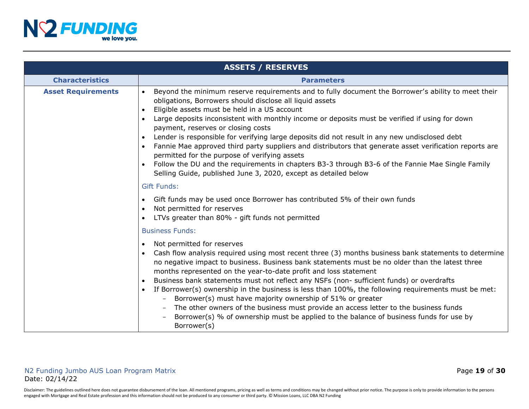

|                           | <b>ASSETS / RESERVES</b>                                                                                                                                                                                                                                                                                                                                                                                                                                                                                                                                                                                                                                                                                                                                                                                                          |
|---------------------------|-----------------------------------------------------------------------------------------------------------------------------------------------------------------------------------------------------------------------------------------------------------------------------------------------------------------------------------------------------------------------------------------------------------------------------------------------------------------------------------------------------------------------------------------------------------------------------------------------------------------------------------------------------------------------------------------------------------------------------------------------------------------------------------------------------------------------------------|
| <b>Characteristics</b>    | <b>Parameters</b>                                                                                                                                                                                                                                                                                                                                                                                                                                                                                                                                                                                                                                                                                                                                                                                                                 |
| <b>Asset Requirements</b> | Beyond the minimum reserve requirements and to fully document the Borrower's ability to meet their<br>$\bullet$<br>obligations, Borrowers should disclose all liquid assets<br>Eligible assets must be held in a US account<br>$\bullet$<br>Large deposits inconsistent with monthly income or deposits must be verified if using for down<br>payment, reserves or closing costs<br>Lender is responsible for verifying large deposits did not result in any new undisclosed debt<br>Fannie Mae approved third party suppliers and distributors that generate asset verification reports are<br>$\bullet$<br>permitted for the purpose of verifying assets<br>Follow the DU and the requirements in chapters B3-3 through B3-6 of the Fannie Mae Single Family<br>Selling Guide, published June 3, 2020, except as detailed below |
|                           | <b>Gift Funds:</b>                                                                                                                                                                                                                                                                                                                                                                                                                                                                                                                                                                                                                                                                                                                                                                                                                |
|                           | Gift funds may be used once Borrower has contributed 5% of their own funds<br>$\bullet$<br>Not permitted for reserves<br>$\bullet$<br>LTVs greater than 80% - gift funds not permitted                                                                                                                                                                                                                                                                                                                                                                                                                                                                                                                                                                                                                                            |
|                           | <b>Business Funds:</b>                                                                                                                                                                                                                                                                                                                                                                                                                                                                                                                                                                                                                                                                                                                                                                                                            |
|                           | Not permitted for reserves<br>$\bullet$<br>Cash flow analysis required using most recent three (3) months business bank statements to determine<br>no negative impact to business. Business bank statements must be no older than the latest three<br>months represented on the year-to-date profit and loss statement<br>Business bank statements must not reflect any NSFs (non- sufficient funds) or overdrafts<br>If Borrower(s) ownership in the business is less than 100%, the following requirements must be met:<br>Borrower(s) must have majority ownership of 51% or greater<br>The other owners of the business must provide an access letter to the business funds<br>Borrower(s) % of ownership must be applied to the balance of business funds for use by<br>Borrower(s)                                          |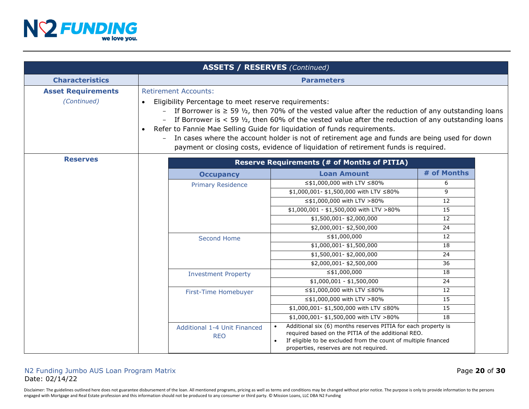

|                                          |                                                                                                                                                                                                                                                                                                                                                                                                                                                                                                                                                                                                             | <b>ASSETS / RESERVES (Continued)</b>       |                                                                                                                                                                                                                                 |             |  |
|------------------------------------------|-------------------------------------------------------------------------------------------------------------------------------------------------------------------------------------------------------------------------------------------------------------------------------------------------------------------------------------------------------------------------------------------------------------------------------------------------------------------------------------------------------------------------------------------------------------------------------------------------------------|--------------------------------------------|---------------------------------------------------------------------------------------------------------------------------------------------------------------------------------------------------------------------------------|-------------|--|
| <b>Characteristics</b>                   | <b>Parameters</b>                                                                                                                                                                                                                                                                                                                                                                                                                                                                                                                                                                                           |                                            |                                                                                                                                                                                                                                 |             |  |
| <b>Asset Requirements</b><br>(Continued) | <b>Retirement Accounts:</b><br>Eligibility Percentage to meet reserve requirements:<br>$\bullet$<br>If Borrower is $\geq$ 59 $\frac{1}{2}$ , then 70% of the vested value after the reduction of any outstanding loans<br>If Borrower is $<$ 59 $\frac{1}{2}$ , then 60% of the vested value after the reduction of any outstanding loans<br>Refer to Fannie Mae Selling Guide for liquidation of funds requirements.<br>In cases where the account holder is not of retirement age and funds are being used for down<br>payment or closing costs, evidence of liquidation of retirement funds is required. |                                            |                                                                                                                                                                                                                                 |             |  |
| <b>Reserves</b>                          |                                                                                                                                                                                                                                                                                                                                                                                                                                                                                                                                                                                                             |                                            | <b>Reserve Requirements (# of Months of PITIA)</b>                                                                                                                                                                              |             |  |
|                                          |                                                                                                                                                                                                                                                                                                                                                                                                                                                                                                                                                                                                             | <b>Occupancy</b>                           | <b>Loan Amount</b>                                                                                                                                                                                                              | # of Months |  |
|                                          |                                                                                                                                                                                                                                                                                                                                                                                                                                                                                                                                                                                                             | <b>Primary Residence</b>                   | ≤\$1,000,000 with LTV ≤80%                                                                                                                                                                                                      | 6           |  |
|                                          |                                                                                                                                                                                                                                                                                                                                                                                                                                                                                                                                                                                                             |                                            | \$1,000,001- \$1,500,000 with LTV ≤80%                                                                                                                                                                                          | 9           |  |
|                                          |                                                                                                                                                                                                                                                                                                                                                                                                                                                                                                                                                                                                             |                                            | ≤\$1,000,000 with LTV >80%                                                                                                                                                                                                      | 12          |  |
|                                          |                                                                                                                                                                                                                                                                                                                                                                                                                                                                                                                                                                                                             |                                            | \$1,000,001 - \$1,500,000 with LTV >80%                                                                                                                                                                                         | 15          |  |
|                                          |                                                                                                                                                                                                                                                                                                                                                                                                                                                                                                                                                                                                             |                                            | \$1,500,001-\$2,000,000                                                                                                                                                                                                         | 12          |  |
|                                          |                                                                                                                                                                                                                                                                                                                                                                                                                                                                                                                                                                                                             |                                            | \$2,000,001-\$2,500,000                                                                                                                                                                                                         | 24          |  |
|                                          |                                                                                                                                                                                                                                                                                                                                                                                                                                                                                                                                                                                                             | <b>Second Home</b>                         | $\leq$ \$1,000,000                                                                                                                                                                                                              | 12          |  |
|                                          |                                                                                                                                                                                                                                                                                                                                                                                                                                                                                                                                                                                                             |                                            | \$1,000,001-\$1,500,000                                                                                                                                                                                                         | 18          |  |
|                                          |                                                                                                                                                                                                                                                                                                                                                                                                                                                                                                                                                                                                             |                                            | \$1,500,001-\$2,000,000                                                                                                                                                                                                         | 24          |  |
|                                          |                                                                                                                                                                                                                                                                                                                                                                                                                                                                                                                                                                                                             |                                            | \$2,000,001-\$2,500,000                                                                                                                                                                                                         | 36          |  |
|                                          |                                                                                                                                                                                                                                                                                                                                                                                                                                                                                                                                                                                                             | <b>Investment Property</b>                 | $\leq$ \$1,000,000                                                                                                                                                                                                              | 18          |  |
|                                          |                                                                                                                                                                                                                                                                                                                                                                                                                                                                                                                                                                                                             |                                            | $$1,000,001 - $1,500,000$                                                                                                                                                                                                       | 24          |  |
|                                          |                                                                                                                                                                                                                                                                                                                                                                                                                                                                                                                                                                                                             | First-Time Homebuyer                       | ≤\$1,000,000 with LTV ≤80%                                                                                                                                                                                                      | 12          |  |
|                                          |                                                                                                                                                                                                                                                                                                                                                                                                                                                                                                                                                                                                             |                                            | ≤\$1,000,000 with LTV >80%                                                                                                                                                                                                      | 15          |  |
|                                          |                                                                                                                                                                                                                                                                                                                                                                                                                                                                                                                                                                                                             |                                            | \$1,000,001- \$1,500,000 with LTV ≤80%                                                                                                                                                                                          | 15          |  |
|                                          |                                                                                                                                                                                                                                                                                                                                                                                                                                                                                                                                                                                                             |                                            | \$1,000,001-\$1,500,000 with LTV >80%                                                                                                                                                                                           | 18          |  |
|                                          |                                                                                                                                                                                                                                                                                                                                                                                                                                                                                                                                                                                                             | Additional 1-4 Unit Financed<br><b>REO</b> | Additional six (6) months reserves PITIA for each property is<br>required based on the PITIA of the additional REO.<br>If eligible to be excluded from the count of multiple financed<br>properties, reserves are not required. |             |  |

## N2 Funding Jumbo AUS Loan Program Matrix **Page 20 of 30** and  $\overline{a}$  Page 20 of 30 Date: 02/14/22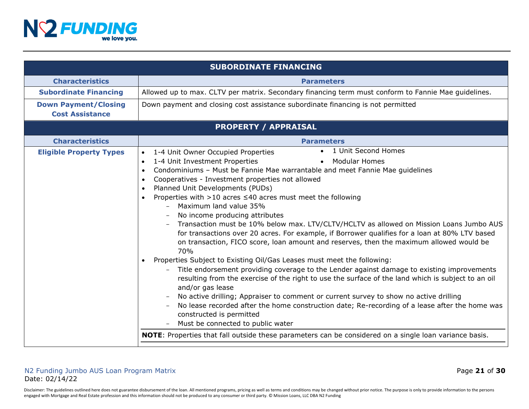

|                                                       | <b>SUBORDINATE FINANCING</b>                                                                                                                                                                                                                                                                                                                                                                                                                                                                                                                                                                                                                                                                                                                                                                                                                                                                                                                                                                                                                                                                                                                                                                                                                                                                                                                                                                                                                                                                 |
|-------------------------------------------------------|----------------------------------------------------------------------------------------------------------------------------------------------------------------------------------------------------------------------------------------------------------------------------------------------------------------------------------------------------------------------------------------------------------------------------------------------------------------------------------------------------------------------------------------------------------------------------------------------------------------------------------------------------------------------------------------------------------------------------------------------------------------------------------------------------------------------------------------------------------------------------------------------------------------------------------------------------------------------------------------------------------------------------------------------------------------------------------------------------------------------------------------------------------------------------------------------------------------------------------------------------------------------------------------------------------------------------------------------------------------------------------------------------------------------------------------------------------------------------------------------|
| <b>Characteristics</b>                                | <b>Parameters</b>                                                                                                                                                                                                                                                                                                                                                                                                                                                                                                                                                                                                                                                                                                                                                                                                                                                                                                                                                                                                                                                                                                                                                                                                                                                                                                                                                                                                                                                                            |
| <b>Subordinate Financing</b>                          | Allowed up to max. CLTV per matrix. Secondary financing term must conform to Fannie Mae guidelines.                                                                                                                                                                                                                                                                                                                                                                                                                                                                                                                                                                                                                                                                                                                                                                                                                                                                                                                                                                                                                                                                                                                                                                                                                                                                                                                                                                                          |
| <b>Down Payment/Closing</b><br><b>Cost Assistance</b> | Down payment and closing cost assistance subordinate financing is not permitted                                                                                                                                                                                                                                                                                                                                                                                                                                                                                                                                                                                                                                                                                                                                                                                                                                                                                                                                                                                                                                                                                                                                                                                                                                                                                                                                                                                                              |
|                                                       | <b>PROPERTY / APPRAISAL</b>                                                                                                                                                                                                                                                                                                                                                                                                                                                                                                                                                                                                                                                                                                                                                                                                                                                                                                                                                                                                                                                                                                                                                                                                                                                                                                                                                                                                                                                                  |
| <b>Characteristics</b>                                | <b>Parameters</b>                                                                                                                                                                                                                                                                                                                                                                                                                                                                                                                                                                                                                                                                                                                                                                                                                                                                                                                                                                                                                                                                                                                                                                                                                                                                                                                                                                                                                                                                            |
| <b>Eligible Property Types</b>                        | • 1 Unit Second Homes<br>1-4 Unit Owner Occupied Properties<br>$\bullet$<br>1-4 Unit Investment Properties<br><b>Modular Homes</b><br>$\bullet$<br>$\bullet$<br>Condominiums - Must be Fannie Mae warrantable and meet Fannie Mae guidelines<br>$\bullet$<br>Cooperatives - Investment properties not allowed<br>$\bullet$<br>Planned Unit Developments (PUDs)<br>$\bullet$<br>Properties with $>10$ acres $\leq 40$ acres must meet the following<br>Maximum land value 35%<br>No income producing attributes<br>Transaction must be 10% below max. LTV/CLTV/HCLTV as allowed on Mission Loans Jumbo AUS<br>for transactions over 20 acres. For example, if Borrower qualifies for a loan at 80% LTV based<br>on transaction, FICO score, loan amount and reserves, then the maximum allowed would be<br>70%<br>Properties Subject to Existing Oil/Gas Leases must meet the following:<br>Title endorsement providing coverage to the Lender against damage to existing improvements<br>resulting from the exercise of the right to use the surface of the land which is subject to an oil<br>and/or gas lease<br>No active drilling; Appraiser to comment or current survey to show no active drilling<br>No lease recorded after the home construction date; Re-recording of a lease after the home was<br>constructed is permitted<br>Must be connected to public water<br><b>NOTE:</b> Properties that fall outside these parameters can be considered on a single loan variance basis. |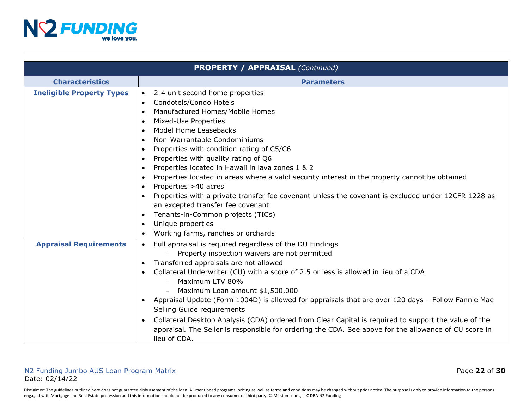

|                                  | <b>PROPERTY / APPRAISAL (Continued)</b>                                                                                                                                                                                       |
|----------------------------------|-------------------------------------------------------------------------------------------------------------------------------------------------------------------------------------------------------------------------------|
| <b>Characteristics</b>           | <b>Parameters</b>                                                                                                                                                                                                             |
| <b>Ineligible Property Types</b> | 2-4 unit second home properties<br>$\bullet$                                                                                                                                                                                  |
|                                  | Condotels/Condo Hotels<br>$\bullet$                                                                                                                                                                                           |
|                                  | Manufactured Homes/Mobile Homes<br>$\bullet$                                                                                                                                                                                  |
|                                  | Mixed-Use Properties<br>$\bullet$                                                                                                                                                                                             |
|                                  | Model Home Leasebacks<br>$\bullet$                                                                                                                                                                                            |
|                                  | Non-Warrantable Condominiums<br>$\bullet$                                                                                                                                                                                     |
|                                  | Properties with condition rating of C5/C6<br>$\bullet$                                                                                                                                                                        |
|                                  | Properties with quality rating of Q6<br>$\bullet$                                                                                                                                                                             |
|                                  | Properties located in Hawaii in lava zones 1 & 2<br>$\bullet$                                                                                                                                                                 |
|                                  | Properties located in areas where a valid security interest in the property cannot be obtained<br>$\bullet$                                                                                                                   |
|                                  | Properties >40 acres<br>$\bullet$                                                                                                                                                                                             |
|                                  | Properties with a private transfer fee covenant unless the covenant is excluded under 12CFR 1228 as                                                                                                                           |
|                                  | an excepted transfer fee covenant                                                                                                                                                                                             |
|                                  | Tenants-in-Common projects (TICs)<br>$\bullet$                                                                                                                                                                                |
|                                  | Unique properties<br>$\bullet$                                                                                                                                                                                                |
|                                  | Working farms, ranches or orchards<br>$\bullet$                                                                                                                                                                               |
| <b>Appraisal Requirements</b>    | Full appraisal is required regardless of the DU Findings<br>$\bullet$                                                                                                                                                         |
|                                  | Property inspection waivers are not permitted                                                                                                                                                                                 |
|                                  | Transferred appraisals are not allowed<br>$\bullet$                                                                                                                                                                           |
|                                  | Collateral Underwriter (CU) with a score of 2.5 or less is allowed in lieu of a CDA                                                                                                                                           |
|                                  | Maximum LTV 80%<br>$ \,$                                                                                                                                                                                                      |
|                                  | Maximum Loan amount \$1,500,000                                                                                                                                                                                               |
|                                  | Appraisal Update (Form 1004D) is allowed for appraisals that are over 120 days - Follow Fannie Mae                                                                                                                            |
|                                  | Selling Guide requirements                                                                                                                                                                                                    |
|                                  | Collateral Desktop Analysis (CDA) ordered from Clear Capital is required to support the value of the<br>appraisal. The Seller is responsible for ordering the CDA. See above for the allowance of CU score in<br>lieu of CDA. |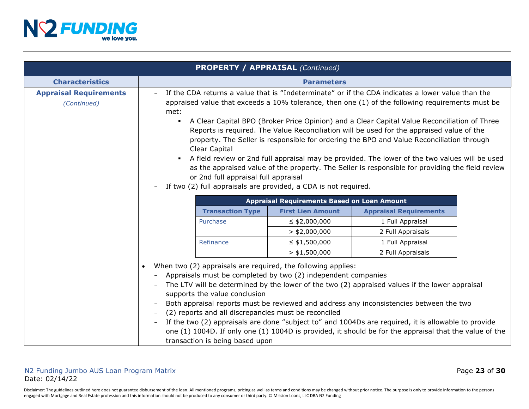

|                                              |                                                                                                                                                                                                                                                                                                                                                                                                                                                                                                                                                                                                                                                                                                                                                                                                                                                                                           | <b>PROPERTY / APPRAISAL (Continued)</b>            |                                                                                                                                                                                                                                                                                                                                                                                                            |  |
|----------------------------------------------|-------------------------------------------------------------------------------------------------------------------------------------------------------------------------------------------------------------------------------------------------------------------------------------------------------------------------------------------------------------------------------------------------------------------------------------------------------------------------------------------------------------------------------------------------------------------------------------------------------------------------------------------------------------------------------------------------------------------------------------------------------------------------------------------------------------------------------------------------------------------------------------------|----------------------------------------------------|------------------------------------------------------------------------------------------------------------------------------------------------------------------------------------------------------------------------------------------------------------------------------------------------------------------------------------------------------------------------------------------------------------|--|
| <b>Characteristics</b>                       | <b>Parameters</b>                                                                                                                                                                                                                                                                                                                                                                                                                                                                                                                                                                                                                                                                                                                                                                                                                                                                         |                                                    |                                                                                                                                                                                                                                                                                                                                                                                                            |  |
| <b>Appraisal Requirements</b><br>(Continued) | If the CDA returns a value that is "Indeterminate" or if the CDA indicates a lower value than the<br>$-$<br>appraised value that exceeds a $10\%$ tolerance, then one $(1)$ of the following requirements must be<br>met:<br>A Clear Capital BPO (Broker Price Opinion) and a Clear Capital Value Reconciliation of Three<br>$\blacksquare$<br>Reports is required. The Value Reconciliation will be used for the appraised value of the<br>property. The Seller is responsible for ordering the BPO and Value Reconciliation through<br>Clear Capital<br>A field review or 2nd full appraisal may be provided. The lower of the two values will be used<br>$\blacksquare$<br>as the appraised value of the property. The Seller is responsible for providing the field review<br>or 2nd full appraisal full appraisal<br>If two (2) full appraisals are provided, a CDA is not required. |                                                    |                                                                                                                                                                                                                                                                                                                                                                                                            |  |
|                                              |                                                                                                                                                                                                                                                                                                                                                                                                                                                                                                                                                                                                                                                                                                                                                                                                                                                                                           | <b>Appraisal Requirements Based on Loan Amount</b> |                                                                                                                                                                                                                                                                                                                                                                                                            |  |
|                                              | <b>Transaction Type</b>                                                                                                                                                                                                                                                                                                                                                                                                                                                                                                                                                                                                                                                                                                                                                                                                                                                                   | <b>First Lien Amount</b>                           | <b>Appraisal Requirements</b>                                                                                                                                                                                                                                                                                                                                                                              |  |
|                                              | Purchase                                                                                                                                                                                                                                                                                                                                                                                                                                                                                                                                                                                                                                                                                                                                                                                                                                                                                  | $\leq$ \$2,000,000                                 | 1 Full Appraisal                                                                                                                                                                                                                                                                                                                                                                                           |  |
|                                              |                                                                                                                                                                                                                                                                                                                                                                                                                                                                                                                                                                                                                                                                                                                                                                                                                                                                                           | $>$ \$2,000,000                                    | 2 Full Appraisals                                                                                                                                                                                                                                                                                                                                                                                          |  |
|                                              | Refinance                                                                                                                                                                                                                                                                                                                                                                                                                                                                                                                                                                                                                                                                                                                                                                                                                                                                                 | $\leq$ \$1,500,000                                 | 1 Full Appraisal                                                                                                                                                                                                                                                                                                                                                                                           |  |
|                                              |                                                                                                                                                                                                                                                                                                                                                                                                                                                                                                                                                                                                                                                                                                                                                                                                                                                                                           | $>$ \$1,500,000                                    | 2 Full Appraisals                                                                                                                                                                                                                                                                                                                                                                                          |  |
|                                              | When two (2) appraisals are required, the following applies:<br>Appraisals must be completed by two (2) independent companies<br>$\qquad \qquad -$<br>supports the value conclusion<br>(2) reports and all discrepancies must be reconciled<br>$\qquad \qquad -$<br>transaction is being based upon                                                                                                                                                                                                                                                                                                                                                                                                                                                                                                                                                                                       |                                                    | The LTV will be determined by the lower of the two (2) appraised values if the lower appraisal<br>Both appraisal reports must be reviewed and address any inconsistencies between the two<br>If the two (2) appraisals are done "subject to" and 1004Ds are required, it is allowable to provide<br>one (1) 1004D. If only one (1) 1004D is provided, it should be for the appraisal that the value of the |  |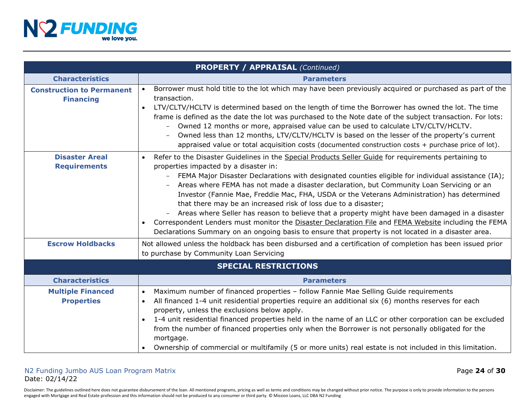

|                                                      | <b>PROPERTY / APPRAISAL (Continued)</b>                                                                                                                                                                                                                                                                                                                                                                                                                                                                                                                                                                                                                                                                                                                                                                                                               |
|------------------------------------------------------|-------------------------------------------------------------------------------------------------------------------------------------------------------------------------------------------------------------------------------------------------------------------------------------------------------------------------------------------------------------------------------------------------------------------------------------------------------------------------------------------------------------------------------------------------------------------------------------------------------------------------------------------------------------------------------------------------------------------------------------------------------------------------------------------------------------------------------------------------------|
| <b>Characteristics</b>                               | <b>Parameters</b>                                                                                                                                                                                                                                                                                                                                                                                                                                                                                                                                                                                                                                                                                                                                                                                                                                     |
| <b>Construction to Permanent</b><br><b>Financing</b> | Borrower must hold title to the lot which may have been previously acquired or purchased as part of the<br>$\bullet$<br>transaction.<br>LTV/CLTV/HCLTV is determined based on the length of time the Borrower has owned the lot. The time<br>$\bullet$<br>frame is defined as the date the lot was purchased to the Note date of the subject transaction. For lots:<br>Owned 12 months or more, appraised value can be used to calculate LTV/CLTV/HCLTV.<br>Owned less than 12 months, LTV/CLTV/HCLTV is based on the lesser of the property's current<br>appraised value or total acquisition costs (documented construction costs $+$ purchase price of lot).                                                                                                                                                                                       |
| <b>Disaster Areal</b><br><b>Requirements</b>         | Refer to the Disaster Guidelines in the Special Products Seller Guide for requirements pertaining to<br>properties impacted by a disaster in:<br>FEMA Major Disaster Declarations with designated counties eligible for individual assistance (IA);<br>$-$<br>Areas where FEMA has not made a disaster declaration, but Community Loan Servicing or an<br>Investor (Fannie Mae, Freddie Mac, FHA, USDA or the Veterans Administration) has determined<br>that there may be an increased risk of loss due to a disaster;<br>Areas where Seller has reason to believe that a property might have been damaged in a disaster<br>Correspondent Lenders must monitor the Disaster Declaration File and FEMA Website including the FEMA<br>$\bullet$<br>Declarations Summary on an ongoing basis to ensure that property is not located in a disaster area. |
| <b>Escrow Holdbacks</b>                              | Not allowed unless the holdback has been disbursed and a certification of completion has been issued prior<br>to purchase by Community Loan Servicing                                                                                                                                                                                                                                                                                                                                                                                                                                                                                                                                                                                                                                                                                                 |
|                                                      | <b>SPECIAL RESTRICTIONS</b>                                                                                                                                                                                                                                                                                                                                                                                                                                                                                                                                                                                                                                                                                                                                                                                                                           |
| <b>Characteristics</b>                               | <b>Parameters</b>                                                                                                                                                                                                                                                                                                                                                                                                                                                                                                                                                                                                                                                                                                                                                                                                                                     |
| <b>Multiple Financed</b><br><b>Properties</b>        | Maximum number of financed properties - follow Fannie Mae Selling Guide requirements<br>$\bullet$<br>All financed 1-4 unit residential properties require an additional six (6) months reserves for each<br>$\bullet$<br>property, unless the exclusions below apply.<br>1-4 unit residential financed properties held in the name of an LLC or other corporation can be excluded<br>$\bullet$<br>from the number of financed properties only when the Borrower is not personally obligated for the<br>mortgage.<br>Ownership of commercial or multifamily (5 or more units) real estate is not included in this limitation.                                                                                                                                                                                                                          |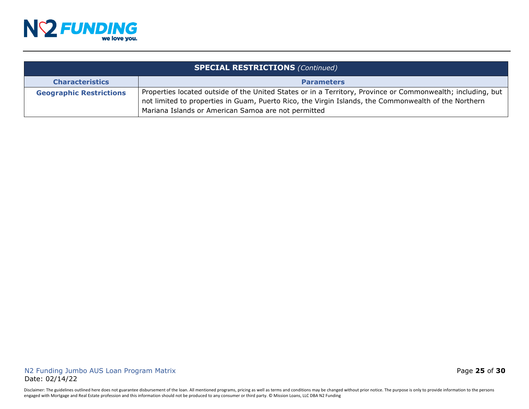

| <b>SPECIAL RESTRICTIONS (Continued)</b> |                                                                                                                                                                                                                                                                            |
|-----------------------------------------|----------------------------------------------------------------------------------------------------------------------------------------------------------------------------------------------------------------------------------------------------------------------------|
| <b>Characteristics</b>                  | <b>Parameters</b>                                                                                                                                                                                                                                                          |
| <b>Geographic Restrictions</b>          | Properties located outside of the United States or in a Territory, Province or Commonwealth; including, but<br>not limited to properties in Guam, Puerto Rico, the Virgin Islands, the Commonwealth of the Northern<br>Mariana Islands or American Samoa are not permitted |

Disclaimer: The guidelines outlined here does not guarantee disbursement of the loan. All mentioned programs, pricing as well as terms and conditions may be changed without prior notice. The purpose is only to provide info engaged with Mortgage and Real Estate profession and this information should not be produced to any consumer or third party. © Mission Loans, LLC DBA N2 Funding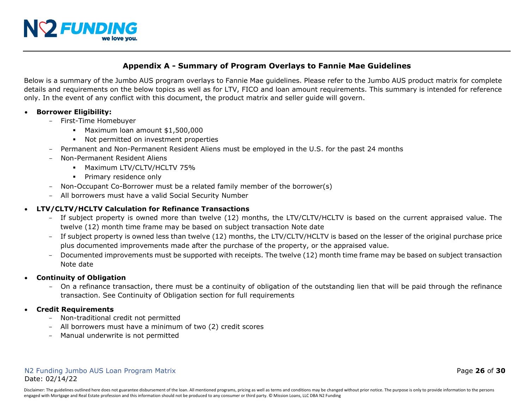

# **Appendix A - Summary of Program Overlays to Fannie Mae Guidelines**

Below is a summary of the Jumbo AUS program overlays to Fannie Mae guidelines. Please refer to the Jumbo AUS product matrix for complete details and requirements on the below topics as well as for LTV, FICO and loan amount requirements. This summary is intended for reference only. In the event of any conflict with this document, the product matrix and seller guide will govern.

#### • **Borrower Eligibility:**

- First-Time Homebuyer
	- Maximum loan amount \$1,500,000
	- Not permitted on investment properties
- Permanent and Non-Permanent Resident Aliens must be employed in the U.S. for the past 24 months
- Non-Permanent Resident Aliens
	- **Maximum LTV/CLTV/HCLTV 75%**
	- **•** Primary residence only
- Non-Occupant Co-Borrower must be a related family member of the borrower(s)
- All borrowers must have a valid Social Security Number

# • **LTV/CLTV/HCLTV Calculation for Refinance Transactions**

- If subject property is owned more than twelve (12) months, the LTV/CLTV/HCLTV is based on the current appraised value. The twelve (12) month time frame may be based on subject transaction Note date
- If subject property is owned less than twelve (12) months, the LTV/CLTV/HCLTV is based on the lesser of the original purchase price plus documented improvements made after the purchase of the property, or the appraised value.
- Documented improvements must be supported with receipts. The twelve (12) month time frame may be based on subject transaction Note date
- **Continuity of Obligation**
	- On a refinance transaction, there must be a continuity of obligation of the outstanding lien that will be paid through the refinance transaction. See Continuity of Obligation section for full requirements
- **Credit Requirements**
	- Non-traditional credit not permitted
	- All borrowers must have a minimum of two (2) credit scores
	- Manual underwrite is not permitted

#### N2 Funding Jumbo AUS Loan Program Matrix Page **26** of **30** Date: 02/14/22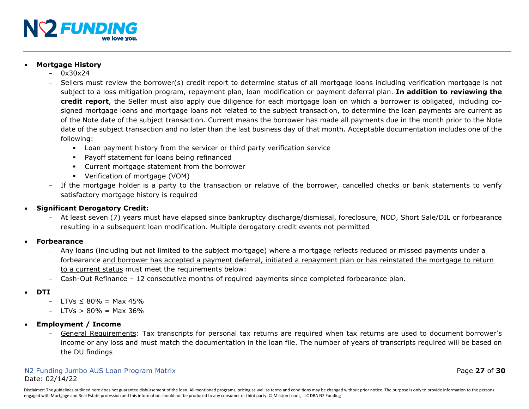

## • **Mortgage History**

- $0x30x24$
- Sellers must review the borrower(s) credit report to determine status of all mortgage loans including verification mortgage is not subject to a loss mitigation program, repayment plan, loan modification or payment deferral plan. **In addition to reviewing the credit report**, the Seller must also apply due diligence for each mortgage loan on which a borrower is obligated, including cosigned mortgage loans and mortgage loans not related to the subject transaction, to determine the loan payments are current as of the Note date of the subject transaction. Current means the borrower has made all payments due in the month prior to the Note date of the subject transaction and no later than the last business day of that month. Acceptable documentation includes one of the following:
	- Loan payment history from the servicer or third party verification service
	- Payoff statement for loans being refinanced
	- Current mortgage statement from the borrower
	- Verification of mortgage (VOM)
- If the mortgage holder is a party to the transaction or relative of the borrower, cancelled checks or bank statements to verify satisfactory mortgage history is required
- **Significant Derogatory Credit:**
	- At least seven (7) years must have elapsed since bankruptcy discharge/dismissal, foreclosure, NOD, Short Sale/DIL or forbearance resulting in a subsequent loan modification. Multiple derogatory credit events not permitted
- **Forbearance**
	- Any loans (including but not limited to the subject mortgage) where a mortgage reflects reduced or missed payments under a forbearance and borrower has accepted a payment deferral, initiated a repayment plan or has reinstated the mortgage to return to a current status must meet the requirements below:
	- Cash-Out Refinance 12 consecutive months of required payments since completed forbearance plan.
- **DTI**
	- LTVs ≤ 80% = Max 45%
	- $-$  LTVs  $> 80\% =$  Max 36%
- **Employment / Income**
	- General Requirements: Tax transcripts for personal tax returns are required when tax returns are used to document borrower's income or any loss and must match the documentation in the loan file. The number of years of transcripts required will be based on the DU findings

#### N2 Funding Jumbo AUS Loan Program Matrix Page **27** of **30** Date: 02/14/22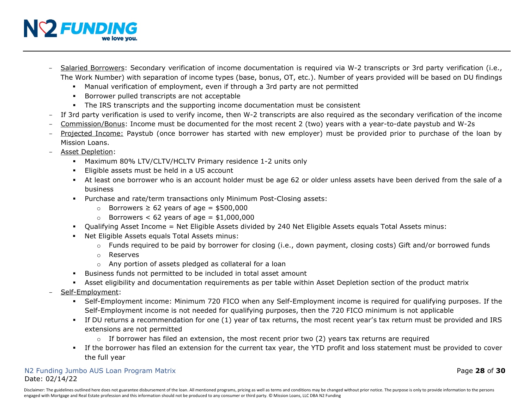

- Salaried Borrowers: Secondary verification of income documentation is required via W-2 transcripts or 3rd party verification (i.e., The Work Number) with separation of income types (base, bonus, OT, etc.). Number of years provided will be based on DU findings
	- Manual verification of employment, even if through a 3rd party are not permitted
	- **Borrower pulled transcripts are not acceptable**
	- The IRS transcripts and the supporting income documentation must be consistent
- If 3rd party verification is used to verify income, then W-2 transcripts are also required as the secondary verification of the income
- Commission/Bonus: Income must be documented for the most recent 2 (two) years with a year-to-date paystub and W-2s
- Projected Income: Paystub (once borrower has started with new employer) must be provided prior to purchase of the loan by Mission Loans.
- Asset Depletion:
	- Maximum 80% LTV/CLTV/HCLTV Primary residence 1-2 units only
	- Eligible assets must be held in a US account
	- At least one borrower who is an account holder must be age 62 or older unless assets have been derived from the sale of a business
	- Purchase and rate/term transactions only Minimum Post-Closing assets:
		- o Borrowers ≥ 62 years of age = \$500,000
		- $\circ$  Borrowers < 62 years of age = \$1,000,000
	- Qualifying Asset Income = Net Eligible Assets divided by 240 Net Eligible Assets equals Total Assets minus:
	- Net Eligible Assets equals Total Assets minus:
		- $\circ$  Funds required to be paid by borrower for closing (i.e., down payment, closing costs) Gift and/or borrowed funds
		- o Reserves
		- o Any portion of assets pledged as collateral for a loan
	- Business funds not permitted to be included in total asset amount
	- Asset eligibility and documentation requirements as per table within Asset Depletion section of the product matrix
- Self-Employment:
	- Self-Employment income: Minimum 720 FICO when any Self-Employment income is required for qualifying purposes. If the Self-Employment income is not needed for qualifying purposes, then the 720 FICO minimum is not applicable
	- If DU returns a recommendation for one (1) year of tax returns, the most recent year's tax return must be provided and IRS extensions are not permitted
		- $\circ$  If borrower has filed an extension, the most recent prior two (2) years tax returns are required
	- If the borrower has filed an extension for the current tax year, the YTD profit and loss statement must be provided to cover the full year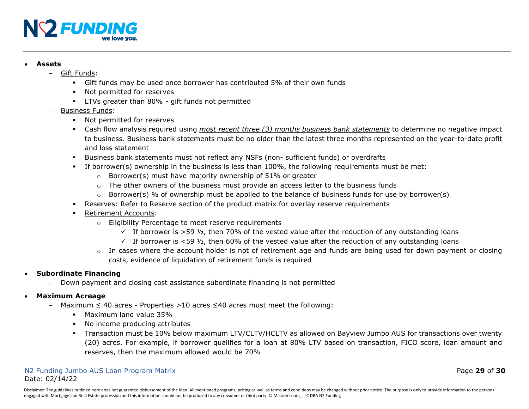

#### • **Assets**

- Gift Funds:
	- Gift funds may be used once borrower has contributed 5% of their own funds
	- **Not permitted for reserves**
	- LTVs greater than 80% gift funds not permitted
- Business Funds:
	- Not permitted for reserves
	- Cash flow analysis required using *most recent three (3) months business bank statements* to determine no negative impact to business. Business bank statements must be no older than the latest three months represented on the year-to-date profit and loss statement
	- Business bank statements must not reflect any NSFs (non- sufficient funds) or overdrafts
	- If borrower(s) ownership in the business is less than 100%, the following requirements must be met:
		- $\circ$  Borrower(s) must have majority ownership of 51% or greater
		- $\circ$  The other owners of the business must provide an access letter to the business funds
		- $\circ$  Borrower(s) % of ownership must be applied to the balance of business funds for use by borrower(s)
	- Reserves: Refer to Reserve section of the product matrix for overlay reserve requirements
	- Retirement Accounts:
		- o Eligibility Percentage to meet reserve requirements
			- $\checkmark$  If borrower is >59  $\frac{1}{2}$ , then 70% of the vested value after the reduction of any outstanding loans
			- $\checkmark$  If borrower is <59  $\frac{1}{2}$ , then 60% of the vested value after the reduction of any outstanding loans
		- $\circ$  In cases where the account holder is not of retirement age and funds are being used for down payment or closing costs, evidence of liquidation of retirement funds is required

# • **Subordinate Financing**

- Down payment and closing cost assistance subordinate financing is not permitted

## • **Maximum Acreage**

- Maximum ≤ 40 acres Properties >10 acres ≤40 acres must meet the following:
	- **Maximum land value 35%**
	- No income producing attributes
	- Transaction must be 10% below maximum LTV/CLTV/HCLTV as allowed on Bayview Jumbo AUS for transactions over twenty (20) acres. For example, if borrower qualifies for a loan at 80% LTV based on transaction, FICO score, loan amount and reserves, then the maximum allowed would be 70%